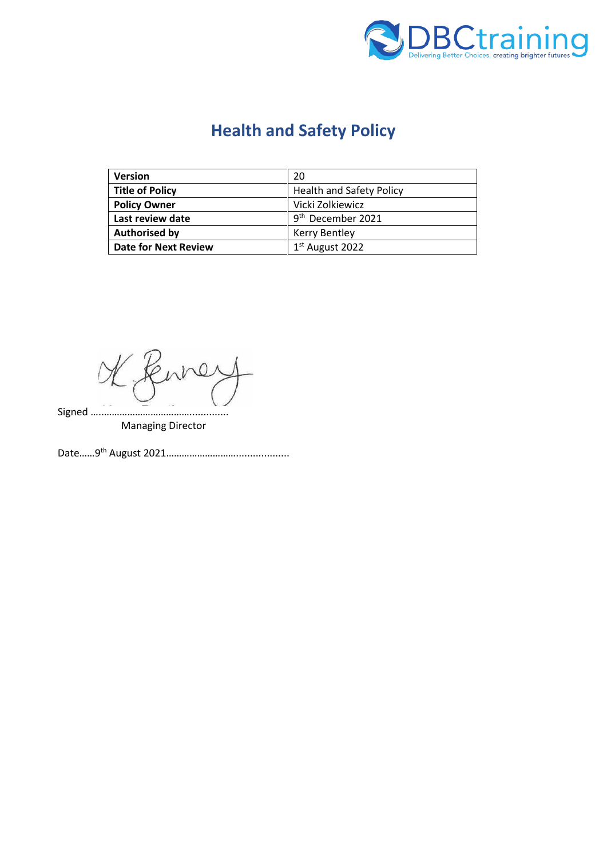

# **Health and Safety Policy**

| <b>Version</b>              | 20                              |
|-----------------------------|---------------------------------|
| <b>Title of Policy</b>      | <b>Health and Safety Policy</b> |
| <b>Policy Owner</b>         | Vicki Zolkiewicz                |
| Last review date            | 9 <sup>th</sup> December 2021   |
| <b>Authorised by</b>        | Kerry Bentley                   |
| <b>Date for Next Review</b> | 1 <sup>st</sup> August 2022     |

 $\Omega$ Signed …..……………………………..............

Managing Director

Date……9 th August 2021………………………...................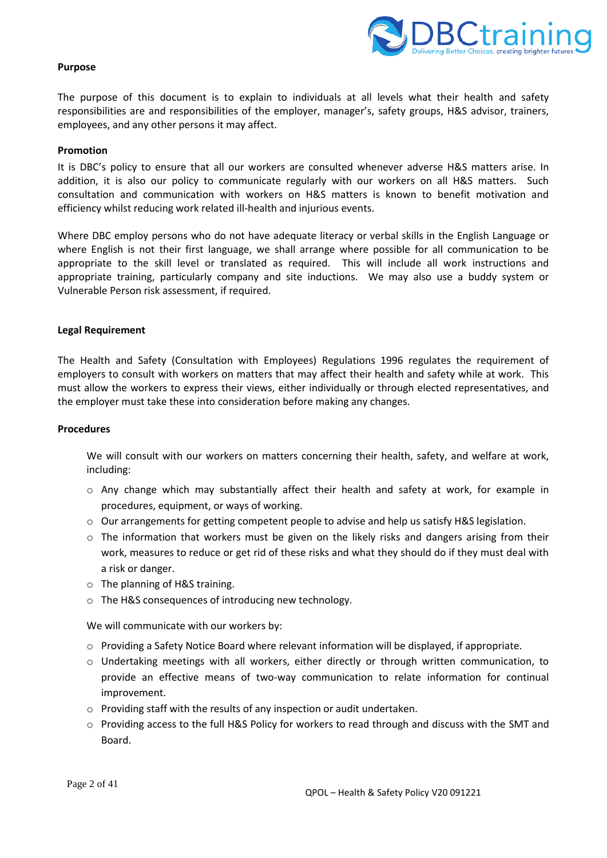

#### **Purpose**

The purpose of this document is to explain to individuals at all levels what their health and safety responsibilities are and responsibilities of the employer, manager's, safety groups, H&S advisor, trainers, employees, and any other persons it may affect.

#### **Promotion**

It is DBC's policy to ensure that all our workers are consulted whenever adverse H&S matters arise. In addition, it is also our policy to communicate regularly with our workers on all H&S matters. Such consultation and communication with workers on H&S matters is known to benefit motivation and efficiency whilst reducing work related ill-health and injurious events.

Where DBC employ persons who do not have adequate literacy or verbal skills in the English Language or where English is not their first language, we shall arrange where possible for all communication to be appropriate to the skill level or translated as required. This will include all work instructions and appropriate training, particularly company and site inductions. We may also use a buddy system or Vulnerable Person risk assessment, if required.

#### **Legal Requirement**

The Health and Safety (Consultation with Employees) Regulations 1996 regulates the requirement of employers to consult with workers on matters that may affect their health and safety while at work. This must allow the workers to express their views, either individually or through elected representatives, and the employer must take these into consideration before making any changes.

#### **Procedures**

We will consult with our workers on matters concerning their health, safety, and welfare at work, including:

- o Any change which may substantially affect their health and safety at work, for example in procedures, equipment, or ways of working.
- o Our arrangements for getting competent people to advise and help us satisfy H&S legislation.
- $\circ$  The information that workers must be given on the likely risks and dangers arising from their work, measures to reduce or get rid of these risks and what they should do if they must deal with a risk or danger.
- o The planning of H&S training.
- o The H&S consequences of introducing new technology.

We will communicate with our workers by:

- $\circ$  Providing a Safety Notice Board where relevant information will be displayed, if appropriate.
- o Undertaking meetings with all workers, either directly or through written communication, to provide an effective means of two-way communication to relate information for continual improvement.
- $\circ$  Providing staff with the results of any inspection or audit undertaken.
- $\circ$  Providing access to the full H&S Policy for workers to read through and discuss with the SMT and Board.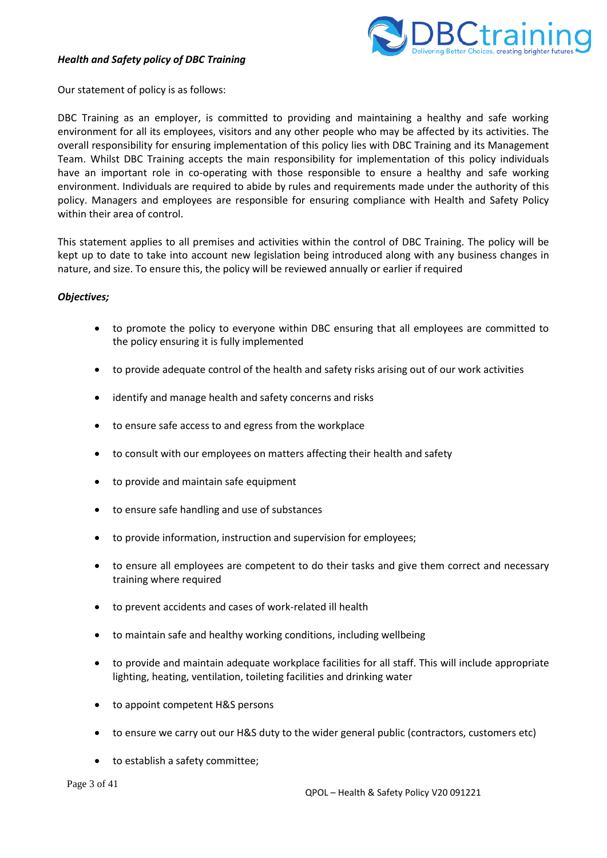# *Health and Safety policy of DBC Training*



Our statement of policy is as follows:

DBC Training as an employer, is committed to providing and maintaining a healthy and safe working environment for all its employees, visitors and any other people who may be affected by its activities. The overall responsibility for ensuring implementation of this policy lies with DBC Training and its Management Team. Whilst DBC Training accepts the main responsibility for implementation of this policy individuals have an important role in co-operating with those responsible to ensure a healthy and safe working environment. Individuals are required to abide by rules and requirements made under the authority of this policy. Managers and employees are responsible for ensuring compliance with Health and Safety Policy within their area of control.

This statement applies to all premises and activities within the control of DBC Training. The policy will be kept up to date to take into account new legislation being introduced along with any business changes in nature, and size. To ensure this, the policy will be reviewed annually or earlier if required

## *Objectives;*

- to promote the policy to everyone within DBC ensuring that all employees are committed to the policy ensuring it is fully implemented
- to provide adequate control of the health and safety risks arising out of our work activities
- identify and manage health and safety concerns and risks
- to ensure safe access to and egress from the workplace
- to consult with our employees on matters affecting their health and safety
- to provide and maintain safe equipment
- to ensure safe handling and use of substances
- to provide information, instruction and supervision for employees;
- to ensure all employees are competent to do their tasks and give them correct and necessary training where required
- to prevent accidents and cases of work-related ill health
- to maintain safe and healthy working conditions, including wellbeing
- to provide and maintain adequate workplace facilities for all staff. This will include appropriate lighting, heating, ventilation, toileting facilities and drinking water
- to appoint competent H&S persons
- to ensure we carry out our H&S duty to the wider general public (contractors, customers etc)
- to establish a safety committee;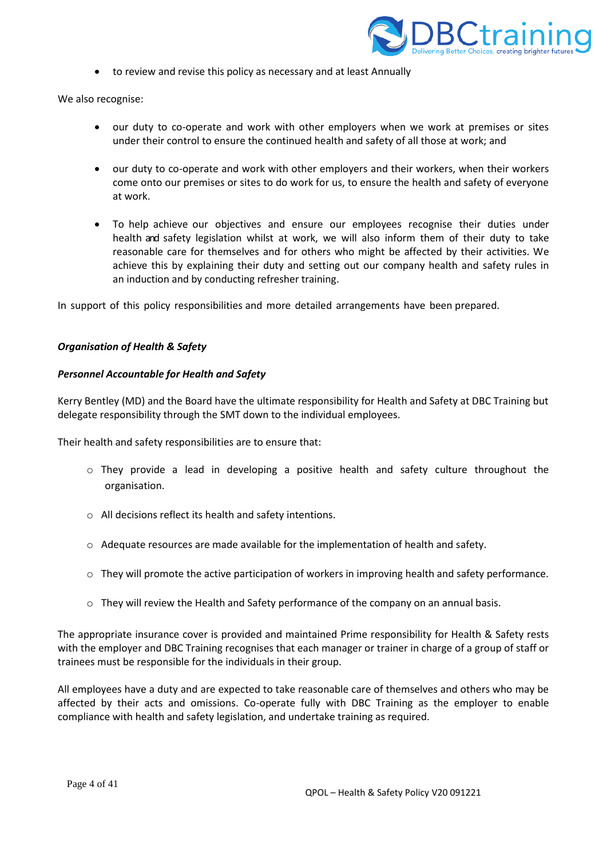

• to review and revise this policy as necessary and at least Annually

We also recognise:

- our duty to co-operate and work with other employers when we work at premises or sites under their control to ensure the continued health and safety of all those at work; and
- our duty to co-operate and work with other employers and their workers, when their workers come onto our premises or sites to do work for us, to ensure the health and safety of everyone at work.
- To help achieve our objectives and ensure our employees recognise their duties under health and safety legislation whilst at work, we will also inform them of their duty to take reasonable care for themselves and for others who might be affected by their activities. We achieve this by explaining their duty and setting out our company health and safety rules in an induction and by conducting refresher training.

In support of this policy responsibilities and more detailed arrangements have been prepared.

#### *Organisation of Health & Safety*

#### *Personnel Accountable for Health and Safety*

Kerry Bentley (MD) and the Board have the ultimate responsibility for Health and Safety at DBC Training but delegate responsibility through the SMT down to the individual employees.

Their health and safety responsibilities are to ensure that:

- o They provide a lead in developing a positive health and safety culture throughout the organisation.
- o All decisions reflect its health and safety intentions.
- $\circ$  Adequate resources are made available for the implementation of health and safety.
- $\circ$  They will promote the active participation of workers in improving health and safety performance.
- $\circ$  They will review the Health and Safety performance of the company on an annual basis.

The appropriate insurance cover is provided and maintained Prime responsibility for Health & Safety rests with the employer and DBC Training recognises that each manager or trainer in charge of a group of staff or trainees must be responsible for the individuals in their group.

All employees have a duty and are expected to take reasonable care of themselves and others who may be affected by their acts and omissions. Co-operate fully with DBC Training as the employer to enable compliance with health and safety legislation, and undertake training as required.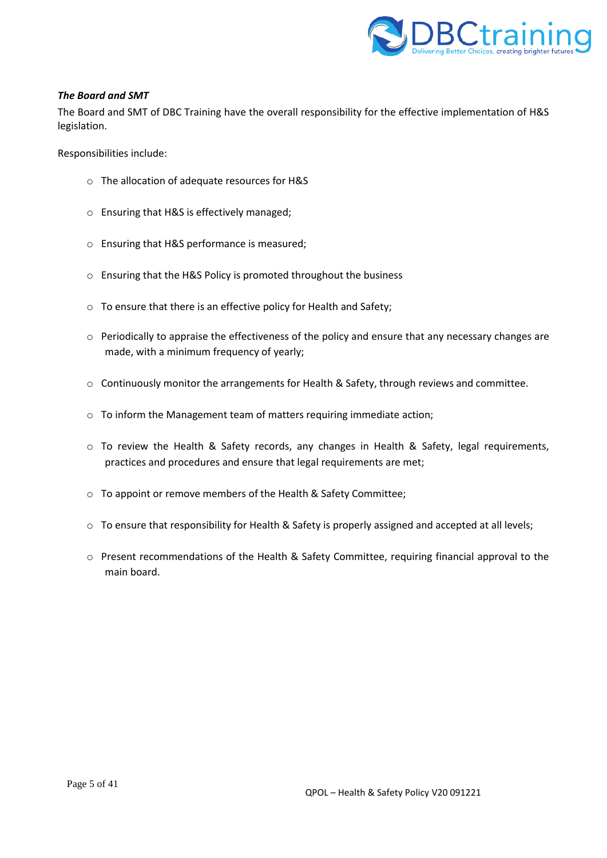

## *The Board and SMT*

The Board and SMT of DBC Training have the overall responsibility for the effective implementation of H&S legislation.

Responsibilities include:

- o The allocation of adequate resources for H&S
- o Ensuring that H&S is effectively managed;
- o Ensuring that H&S performance is measured;
- o Ensuring that the H&S Policy is promoted throughout the business
- o To ensure that there is an effective policy for Health and Safety;
- $\circ$  Periodically to appraise the effectiveness of the policy and ensure that any necessary changes are made, with a minimum frequency of yearly;
- o Continuously monitor the arrangements for Health & Safety, through reviews and committee.
- o To inform the Management team of matters requiring immediate action;
- o To review the Health & Safety records, any changes in Health & Safety, legal requirements, practices and procedures and ensure that legal requirements are met;
- o To appoint or remove members of the Health & Safety Committee;
- $\circ$  To ensure that responsibility for Health & Safety is properly assigned and accepted at all levels;
- $\circ$  Present recommendations of the Health & Safety Committee, requiring financial approval to the main board.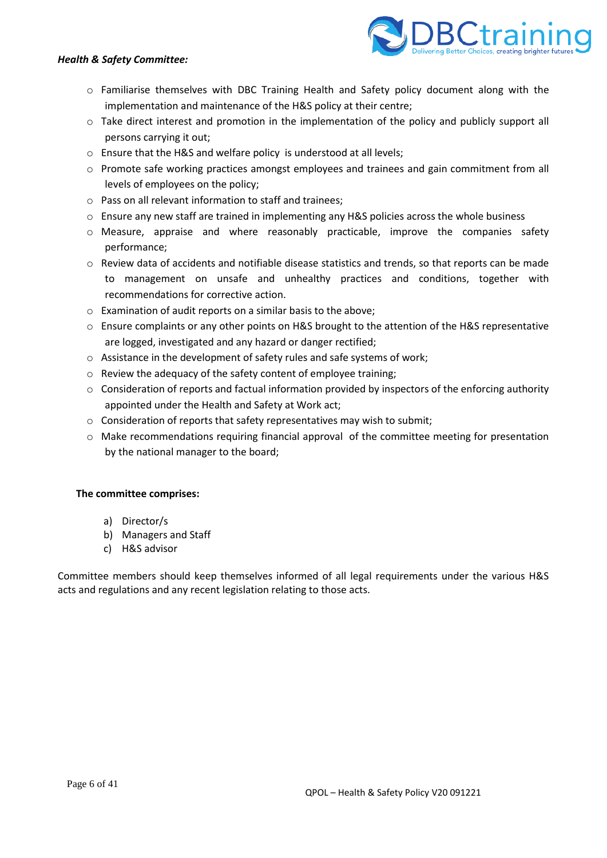# *Health & Safety Committee:*



- o Familiarise themselves with DBC Training Health and Safety policy document along with the implementation and maintenance of the H&S policy at their centre;
- o Take direct interest and promotion in the implementation of the policy and publicly support all persons carrying it out;
- o Ensure that the H&S and welfare policy is understood at all levels;
- o Promote safe working practices amongst employees and trainees and gain commitment from all levels of employees on the policy;
- o Pass on all relevant information to staff and trainees;
- $\circ$  Ensure any new staff are trained in implementing any H&S policies across the whole business
- o Measure, appraise and where reasonably practicable, improve the companies safety performance;
- $\circ$  Review data of accidents and notifiable disease statistics and trends, so that reports can be made to management on unsafe and unhealthy practices and conditions, together with recommendations for corrective action.
- o Examination of audit reports on a similar basis to the above;
- o Ensure complaints or any other points on H&S brought to the attention of the H&S representative are logged, investigated and any hazard or danger rectified;
- o Assistance in the development of safety rules and safe systems of work;
- o Review the adequacy of the safety content of employee training;
- $\circ$  Consideration of reports and factual information provided by inspectors of the enforcing authority appointed under the Health and Safety at Work act;
- o Consideration of reports that safety representatives may wish to submit;
- o Make recommendations requiring financial approval of the committee meeting for presentation by the national manager to the board;

# **The committee comprises:**

- a) Director/s
- b) Managers and Staff
- c) H&S advisor

Committee members should keep themselves informed of all legal requirements under the various H&S acts and regulations and any recent legislation relating to those acts.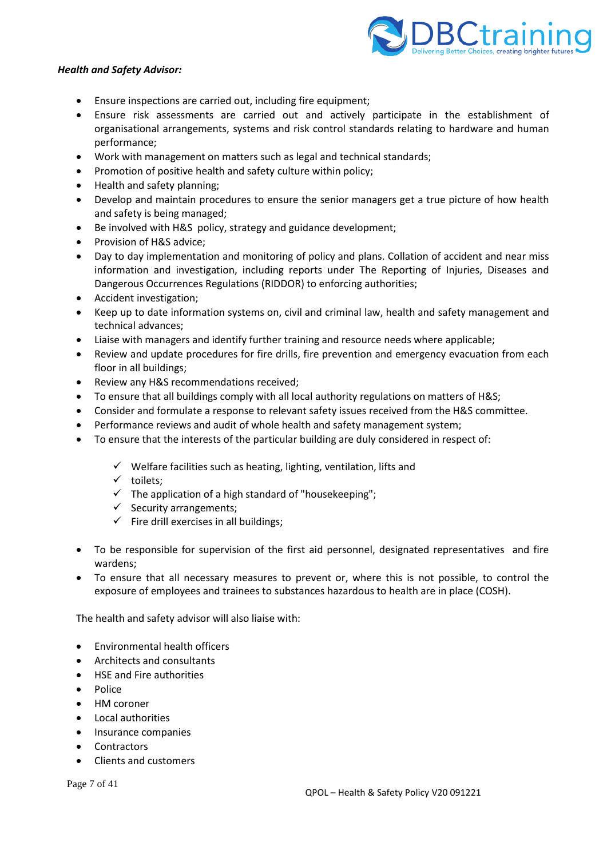

#### *Health and Safety Advisor:*

- Ensure inspections are carried out, including fire equipment;
- Ensure risk assessments are carried out and actively participate in the establishment of organisational arrangements, systems and risk control standards relating to hardware and human performance;
- Work with management on matters such as legal and technical standards;
- Promotion of positive health and safety culture within policy;
- Health and safety planning;
- Develop and maintain procedures to ensure the senior managers get a true picture of how health and safety is being managed;
- Be involved with H&S policy, strategy and guidance development;
- Provision of H&S advice;
- Day to day implementation and monitoring of policy and plans. Collation of accident and near miss information and investigation, including reports under The Reporting of Injuries, Diseases and Dangerous Occurrences Regulations (RIDDOR) to enforcing authorities;
- Accident investigation;
- Keep up to date information systems on, civil and criminal law, health and safety management and technical advances;
- Liaise with managers and identify further training and resource needs where applicable;
- Review and update procedures for fire drills, fire prevention and emergency evacuation from each floor in all buildings;
- Review any H&S recommendations received;
- To ensure that all buildings comply with all local authority regulations on matters of H&S;
- Consider and formulate a response to relevant safety issues received from the H&S committee.
- Performance reviews and audit of whole health and safety management system;
- To ensure that the interests of the particular building are duly considered in respect of:
	- $\checkmark$  Welfare facilities such as heating, lighting, ventilation, lifts and
	- ✓ toilets;
	- $\checkmark$  The application of a high standard of "housekeeping";
	- $\checkmark$  Security arrangements;
	- $\checkmark$  Fire drill exercises in all buildings;
- To be responsible for supervision of the first aid personnel, designated representatives and fire wardens;
- To ensure that all necessary measures to prevent or, where this is not possible, to control the exposure of employees and trainees to substances hazardous to health are in place (COSH).

The health and safety advisor will also liaise with:

- Environmental health officers
- Architects and consultants
- HSE and Fire authorities
- Police
- HM coroner
- Local authorities
- Insurance companies
- **Contractors**
- Clients and customers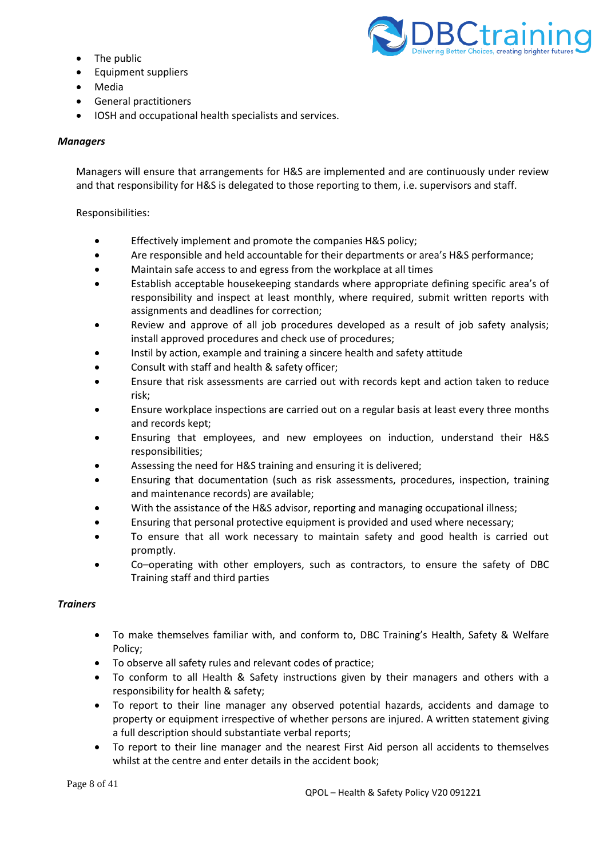- The public
- Equipment suppliers
- Media
- General practitioners
- IOSH and occupational health specialists and services.

# *Managers*

Managers will ensure that arrangements for H&S are implemented and are continuously under review and that responsibility for H&S is delegated to those reporting to them, i.e. supervisors and staff.

Responsibilities:

- Effectively implement and promote the companies H&S policy;
- Are responsible and held accountable for their departments or area's H&S performance;
- Maintain safe access to and egress from the workplace at all times
- Establish acceptable housekeeping standards where appropriate defining specific area's of responsibility and inspect at least monthly, where required, submit written reports with assignments and deadlines for correction;
- Review and approve of all job procedures developed as a result of job safety analysis; install approved procedures and check use of procedures;
- Instil by action, example and training a sincere health and safety attitude
- Consult with staff and health & safety officer;
- Ensure that risk assessments are carried out with records kept and action taken to reduce risk;
- Ensure workplace inspections are carried out on a regular basis at least every three months and records kept;
- Ensuring that employees, and new employees on induction, understand their H&S responsibilities;
- Assessing the need for H&S training and ensuring it is delivered;
- Ensuring that documentation (such as risk assessments, procedures, inspection, training and maintenance records) are available;
- With the assistance of the H&S advisor, reporting and managing occupational illness;
- Ensuring that personal protective equipment is provided and used where necessary;
- To ensure that all work necessary to maintain safety and good health is carried out promptly.
- Co–operating with other employers, such as contractors, to ensure the safety of DBC Training staff and third parties

## *Trainers*

- To make themselves familiar with, and conform to, DBC Training's Health, Safety & Welfare Policy;
- To observe all safety rules and relevant codes of practice;
- To conform to all Health & Safety instructions given by their managers and others with a responsibility for health & safety;
- To report to their line manager any observed potential hazards, accidents and damage to property or equipment irrespective of whether persons are injured. A written statement giving a full description should substantiate verbal reports;
- To report to their line manager and the nearest First Aid person all accidents to themselves whilst at the centre and enter details in the accident book;

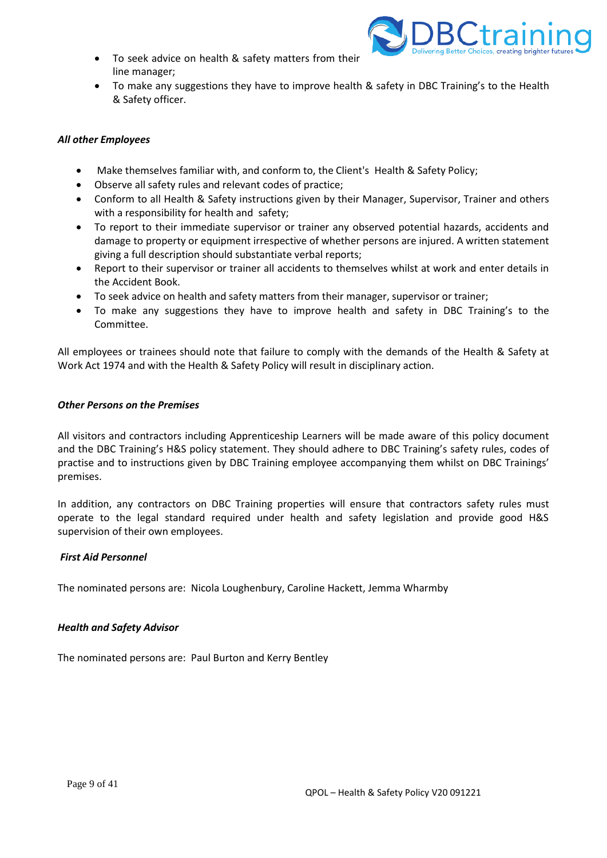• To seek advice on health & safety matters from their line manager;



• To make any suggestions they have to improve health & safety in DBC Training's to the Health & Safety officer.

# *All other Employees*

- Make themselves familiar with, and conform to, the Client's Health & Safety Policy;
- Observe all safety rules and relevant codes of practice;
- Conform to all Health & Safety instructions given by their Manager, Supervisor, Trainer and others with a responsibility for health and safety;
- To report to their immediate supervisor or trainer any observed potential hazards, accidents and damage to property or equipment irrespective of whether persons are injured. A written statement giving a full description should substantiate verbal reports;
- Report to their supervisor or trainer all accidents to themselves whilst at work and enter details in the Accident Book.
- To seek advice on health and safety matters from their manager, supervisor or trainer;
- To make any suggestions they have to improve health and safety in DBC Training's to the Committee.

All employees or trainees should note that failure to comply with the demands of the Health & Safety at Work Act 1974 and with the Health & Safety Policy will result in disciplinary action.

#### *Other Persons on the Premises*

All visitors and contractors including Apprenticeship Learners will be made aware of this policy document and the DBC Training's H&S policy statement. They should adhere to DBC Training's safety rules, codes of practise and to instructions given by DBC Training employee accompanying them whilst on DBC Trainings' premises.

In addition, any contractors on DBC Training properties will ensure that contractors safety rules must operate to the legal standard required under health and safety legislation and provide good H&S supervision of their own employees.

## *First Aid Personnel*

The nominated persons are: Nicola Loughenbury, Caroline Hackett, Jemma Wharmby

#### *Health and Safety Advisor*

The nominated persons are: Paul Burton and Kerry Bentley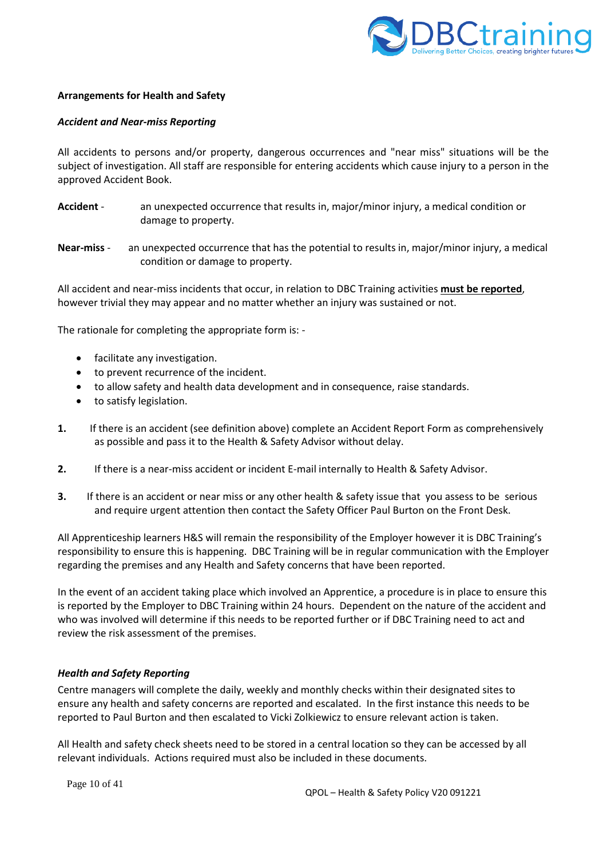

## **Arrangements for Health and Safety**

## *Accident and Near-miss Reporting*

All accidents to persons and/or property, dangerous occurrences and "near miss" situations will be the subject of investigation. All staff are responsible for entering accidents which cause injury to a person in the approved Accident Book.

- **Accident**  an unexpected occurrence that results in, major/minor injury, a medical condition or damage to property.
- **Near-miss** an unexpected occurrence that has the potential to results in, major/minor injury, a medical condition or damage to property.

All accident and near-miss incidents that occur, in relation to DBC Training activities **must be reported**, however trivial they may appear and no matter whether an injury was sustained or not.

The rationale for completing the appropriate form is: -

- facilitate any investigation.
- to prevent recurrence of the incident.
- to allow safety and health data development and in consequence, raise standards.
- to satisfy legislation.
- **1.** If there is an accident (see definition above) complete an Accident Report Form as comprehensively as possible and pass it to the Health & Safety Advisor without delay.
- **2.** If there is a near-miss accident or incident E-mail internally to Health & Safety Advisor.
- **3.** If there is an accident or near miss or any other health & safety issue that you assess to be serious and require urgent attention then contact the Safety Officer Paul Burton on the Front Desk.

All Apprenticeship learners H&S will remain the responsibility of the Employer however it is DBC Training's responsibility to ensure this is happening. DBC Training will be in regular communication with the Employer regarding the premises and any Health and Safety concerns that have been reported.

In the event of an accident taking place which involved an Apprentice, a procedure is in place to ensure this is reported by the Employer to DBC Training within 24 hours. Dependent on the nature of the accident and who was involved will determine if this needs to be reported further or if DBC Training need to act and review the risk assessment of the premises.

## *Health and Safety Reporting*

Centre managers will complete the daily, weekly and monthly checks within their designated sites to ensure any health and safety concerns are reported and escalated. In the first instance this needs to be reported to Paul Burton and then escalated to Vicki Zolkiewicz to ensure relevant action is taken.

All Health and safety check sheets need to be stored in a central location so they can be accessed by all relevant individuals. Actions required must also be included in these documents.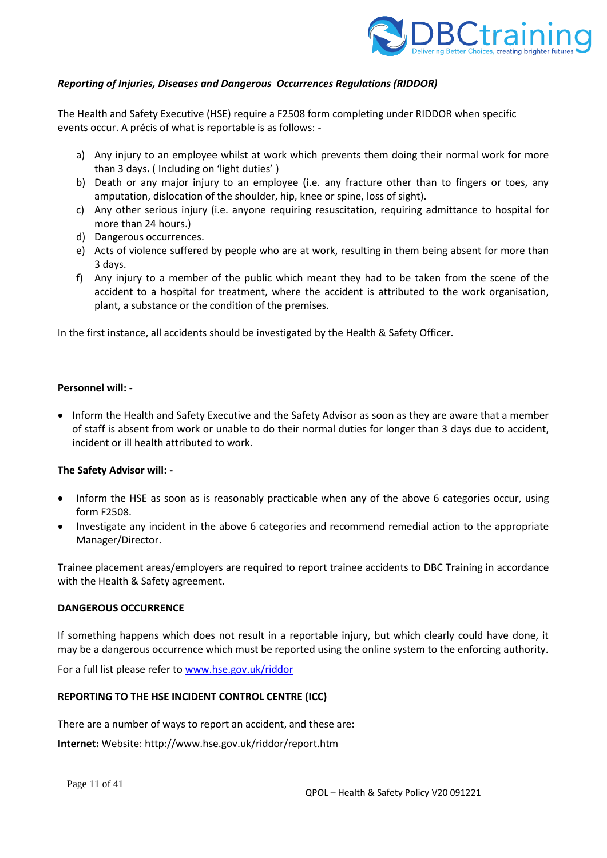

# *Reporting of Injuries, Diseases and Dangerous Occurrences Regulations (RIDDOR)*

The Health and Safety Executive (HSE) require a F2508 form completing under RIDDOR when specific events occur. A précis of what is reportable is as follows: -

- a) Any injury to an employee whilst at work which prevents them doing their normal work for more than 3 days**.** ( Including on 'light duties' )
- b) Death or any major injury to an employee (i.e. any fracture other than to fingers or toes, any amputation, dislocation of the shoulder, hip, knee or spine, loss of sight).
- c) Any other serious injury (i.e. anyone requiring resuscitation, requiring admittance to hospital for more than 24 hours.)
- d) Dangerous occurrences.
- e) Acts of violence suffered by people who are at work, resulting in them being absent for more than 3 days.
- f) Any injury to a member of the public which meant they had to be taken from the scene of the accident to a hospital for treatment, where the accident is attributed to the work organisation, plant, a substance or the condition of the premises.

In the first instance, all accidents should be investigated by the Health & Safety Officer.

## **Personnel will: -**

• Inform the Health and Safety Executive and the Safety Advisor as soon as they are aware that a member of staff is absent from work or unable to do their normal duties for longer than 3 days due to accident, incident or ill health attributed to work.

## **The Safety Advisor will: -**

- Inform the HSE as soon as is reasonably practicable when any of the above 6 categories occur, using form F2508.
- Investigate any incident in the above 6 categories and recommend remedial action to the appropriate Manager/Director.

Trainee placement areas/employers are required to report trainee accidents to DBC Training in accordance with the Health & Safety agreement.

#### **DANGEROUS OCCURRENCE**

If something happens which does not result in a reportable injury, but which clearly could have done, it may be a dangerous occurrence which must be reported using the online system to the enforcing authority.

For a full list please refer t[o www.hse.gov.uk/riddor](http://www.hse.gov.uk/riddor)

## **REPORTING TO THE HSE INCIDENT CONTROL CENTRE (ICC)**

There are a number of ways to report an accident, and these are:

**Internet:** Website: http://www.hse.gov.uk/riddor/report.htm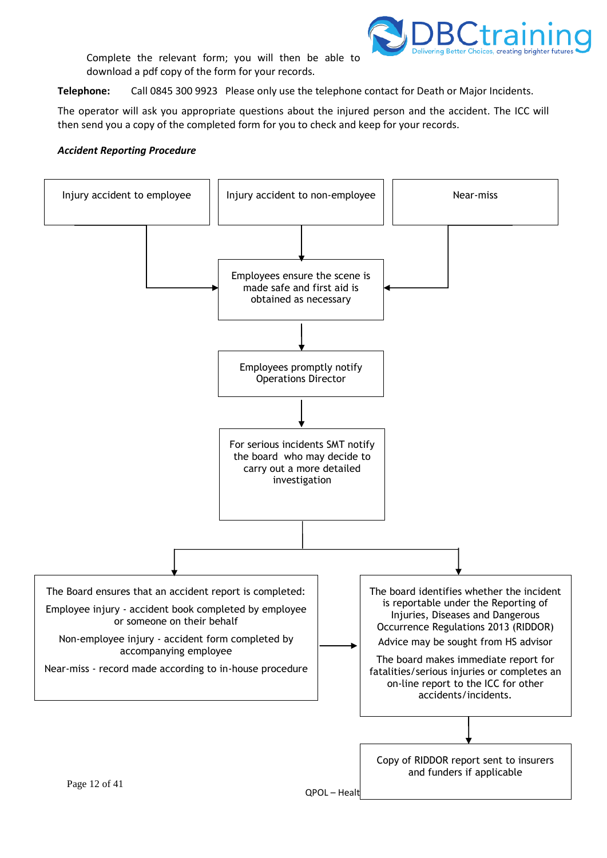

Complete the relevant form; you will then be able to download a pdf copy of the form for your records.

**Telephone:** Call 0845 300 9923 Please only use the telephone contact for Death or Major Incidents.

The operator will ask you appropriate questions about the injured person and the accident. The ICC will then send you a copy of the completed form for you to check and keep for your records.

#### *Accident Reporting Procedure*

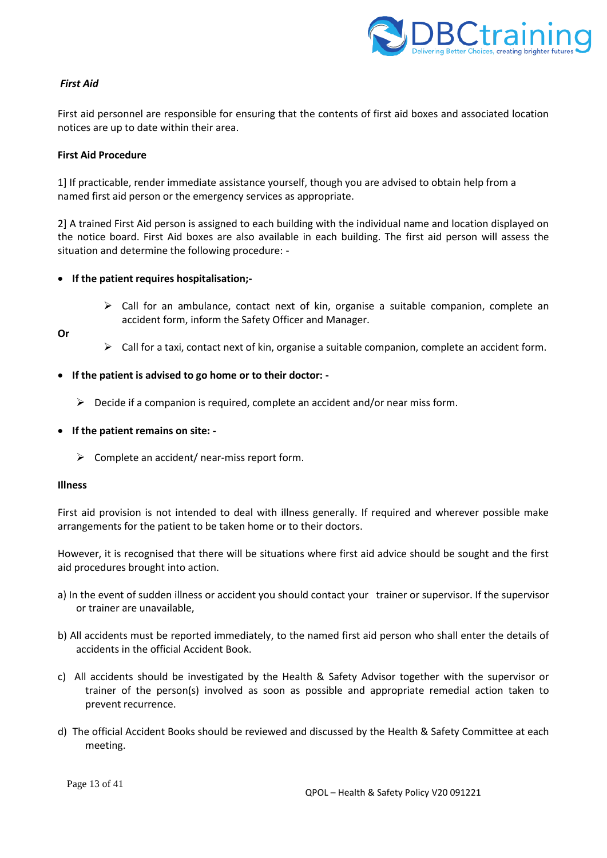

# *First Aid*

First aid personnel are responsible for ensuring that the contents of first aid boxes and associated location notices are up to date within their area.

#### **First Aid Procedure**

1] If practicable, render immediate assistance yourself, though you are advised to obtain help from a named first aid person or the emergency services as appropriate.

2] A trained First Aid person is assigned to each building with the individual name and location displayed on the notice board. First Aid boxes are also available in each building. The first aid person will assess the situation and determine the following procedure: -

#### • **If the patient requires hospitalisation;-**

 $\triangleright$  Call for an ambulance, contact next of kin, organise a suitable companion, complete an accident form, inform the Safety Officer and Manager.

**Or**

- $\triangleright$  Call for a taxi, contact next of kin, organise a suitable companion, complete an accident form.
- **If the patient is advised to go home or to their doctor: -**
	- $\triangleright$  Decide if a companion is required, complete an accident and/or near miss form.
- **If the patient remains on site: -**
	- $\triangleright$  Complete an accident/ near-miss report form.

#### **Illness**

First aid provision is not intended to deal with illness generally. If required and wherever possible make arrangements for the patient to be taken home or to their doctors.

However, it is recognised that there will be situations where first aid advice should be sought and the first aid procedures brought into action.

- a) In the event of sudden illness or accident you should contact your trainer or supervisor. If the supervisor or trainer are unavailable,
- b) All accidents must be reported immediately, to the named first aid person who shall enter the details of accidents in the official Accident Book.
- c) All accidents should be investigated by the Health & Safety Advisor together with the supervisor or trainer of the person(s) involved as soon as possible and appropriate remedial action taken to prevent recurrence.
- d) The official Accident Books should be reviewed and discussed by the Health & Safety Committee at each meeting.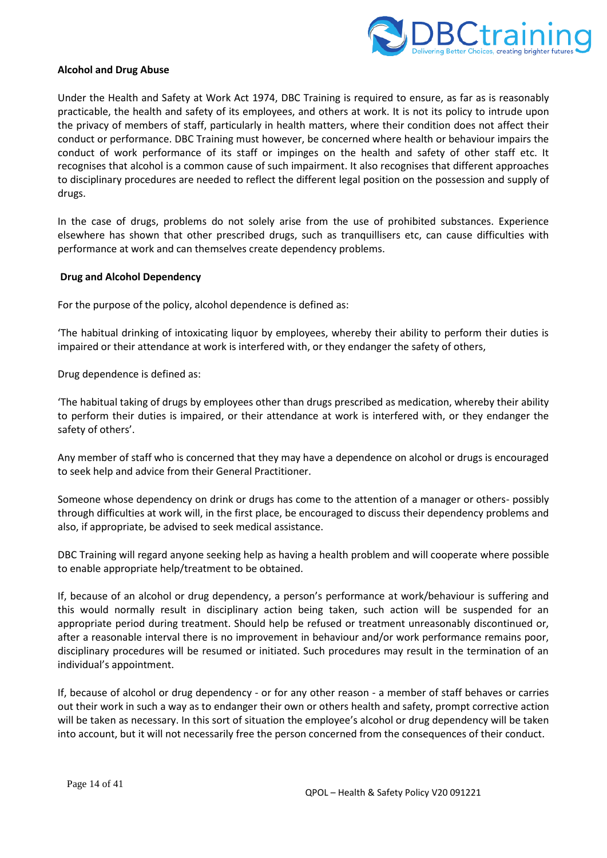

#### **Alcohol and Drug Abuse**

Under the Health and Safety at Work Act 1974, DBC Training is required to ensure, as far as is reasonably practicable, the health and safety of its employees, and others at work. It is not its policy to intrude upon the privacy of members of staff, particularly in health matters, where their condition does not affect their conduct or performance. DBC Training must however, be concerned where health or behaviour impairs the conduct of work performance of its staff or impinges on the health and safety of other staff etc. It recognises that alcohol is a common cause of such impairment. It also recognises that different approaches to disciplinary procedures are needed to reflect the different legal position on the possession and supply of drugs.

In the case of drugs, problems do not solely arise from the use of prohibited substances. Experience elsewhere has shown that other prescribed drugs, such as tranquillisers etc, can cause difficulties with performance at work and can themselves create dependency problems.

#### **Drug and Alcohol Dependency**

For the purpose of the policy, alcohol dependence is defined as:

'The habitual drinking of intoxicating liquor by employees, whereby their ability to perform their duties is impaired or their attendance at work is interfered with, or they endanger the safety of others,

Drug dependence is defined as:

'The habitual taking of drugs by employees other than drugs prescribed as medication, whereby their ability to perform their duties is impaired, or their attendance at work is interfered with, or they endanger the safety of others'.

Any member of staff who is concerned that they may have a dependence on alcohol or drugs is encouraged to seek help and advice from their General Practitioner.

Someone whose dependency on drink or drugs has come to the attention of a manager or others- possibly through difficulties at work will, in the first place, be encouraged to discuss their dependency problems and also, if appropriate, be advised to seek medical assistance.

DBC Training will regard anyone seeking help as having a health problem and will cooperate where possible to enable appropriate help/treatment to be obtained.

If, because of an alcohol or drug dependency, a person's performance at work/behaviour is suffering and this would normally result in disciplinary action being taken, such action will be suspended for an appropriate period during treatment. Should help be refused or treatment unreasonably discontinued or, after a reasonable interval there is no improvement in behaviour and/or work performance remains poor, disciplinary procedures will be resumed or initiated. Such procedures may result in the termination of an individual's appointment.

If, because of alcohol or drug dependency - or for any other reason - a member of staff behaves or carries out their work in such a way as to endanger their own or others health and safety, prompt corrective action will be taken as necessary. In this sort of situation the employee's alcohol or drug dependency will be taken into account, but it will not necessarily free the person concerned from the consequences of their conduct.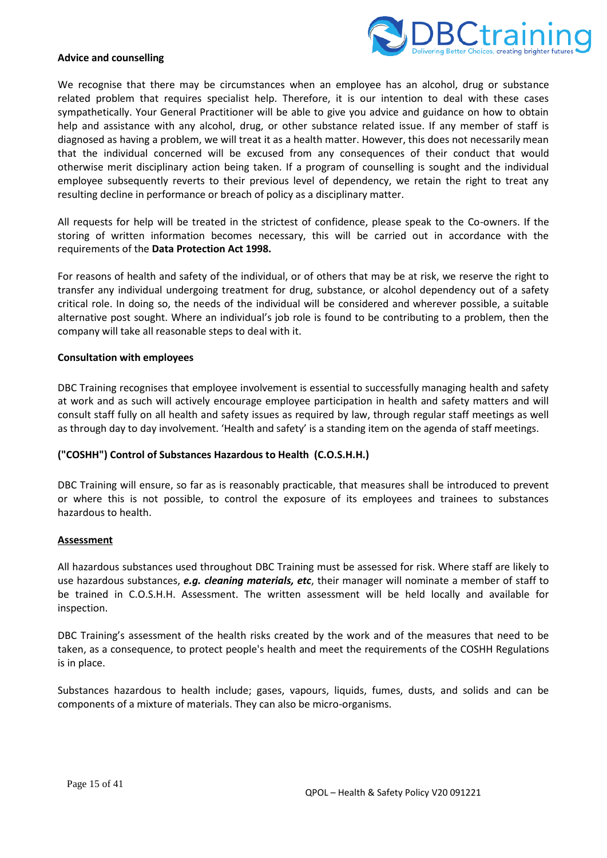

#### **Advice and counselling**

We recognise that there may be circumstances when an employee has an alcohol, drug or substance related problem that requires specialist help. Therefore, it is our intention to deal with these cases sympathetically. Your General Practitioner will be able to give you advice and guidance on how to obtain help and assistance with any alcohol, drug, or other substance related issue. If any member of staff is diagnosed as having a problem, we will treat it as a health matter. However, this does not necessarily mean that the individual concerned will be excused from any consequences of their conduct that would otherwise merit disciplinary action being taken. If a program of counselling is sought and the individual employee subsequently reverts to their previous level of dependency, we retain the right to treat any resulting decline in performance or breach of policy as a disciplinary matter.

All requests for help will be treated in the strictest of confidence, please speak to the Co-owners. If the storing of written information becomes necessary, this will be carried out in accordance with the requirements of the **Data Protection Act 1998.**

For reasons of health and safety of the individual, or of others that may be at risk, we reserve the right to transfer any individual undergoing treatment for drug, substance, or alcohol dependency out of a safety critical role. In doing so, the needs of the individual will be considered and wherever possible, a suitable alternative post sought. Where an individual's job role is found to be contributing to a problem, then the company will take all reasonable steps to deal with it.

#### **Consultation with employees**

DBC Training recognises that employee involvement is essential to successfully managing health and safety at work and as such will actively encourage employee participation in health and safety matters and will consult staff fully on all health and safety issues as required by law, through regular staff meetings as well as through day to day involvement. 'Health and safety' is a standing item on the agenda of staff meetings.

## **("COSHH") Control of Substances Hazardous to Health (C.O.S.H.H.)**

DBC Training will ensure, so far as is reasonably practicable, that measures shall be introduced to prevent or where this is not possible, to control the exposure of its employees and trainees to substances hazardous to health.

#### **Assessment**

All hazardous substances used throughout DBC Training must be assessed for risk. Where staff are likely to use hazardous substances, *e.g. cleaning materials, etc*, their manager will nominate a member of staff to be trained in C.O.S.H.H. Assessment. The written assessment will be held locally and available for inspection.

DBC Training's assessment of the health risks created by the work and of the measures that need to be taken, as a consequence, to protect people's health and meet the requirements of the COSHH Regulations is in place.

Substances hazardous to health include; gases, vapours, liquids, fumes, dusts, and solids and can be components of a mixture of materials. They can also be micro-organisms.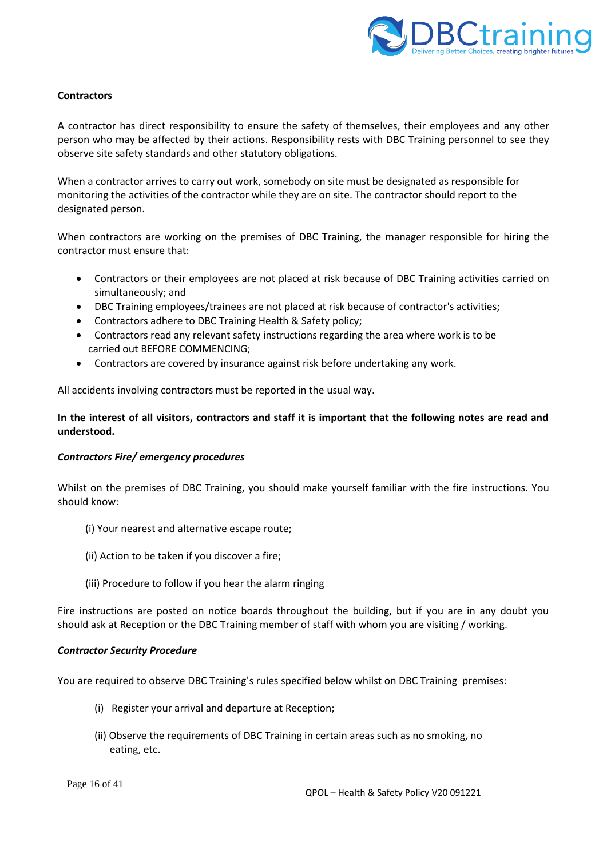

# **Contractors**

A contractor has direct responsibility to ensure the safety of themselves, their employees and any other person who may be affected by their actions. Responsibility rests with DBC Training personnel to see they observe site safety standards and other statutory obligations.

When a contractor arrives to carry out work, somebody on site must be designated as responsible for monitoring the activities of the contractor while they are on site. The contractor should report to the designated person.

When contractors are working on the premises of DBC Training, the manager responsible for hiring the contractor must ensure that:

- Contractors or their employees are not placed at risk because of DBC Training activities carried on simultaneously; and
- DBC Training employees/trainees are not placed at risk because of contractor's activities;
- Contractors adhere to DBC Training Health & Safety policy;
- Contractors read any relevant safety instructions regarding the area where work is to be carried out BEFORE COMMENCING;
- Contractors are covered by insurance against risk before undertaking any work.

All accidents involving contractors must be reported in the usual way.

# **In the interest of all visitors, contractors and staff it is important that the following notes are read and understood.**

## *Contractors Fire/ emergency procedures*

Whilst on the premises of DBC Training, you should make yourself familiar with the fire instructions. You should know:

- (i) Your nearest and alternative escape route;
- (ii) Action to be taken if you discover a fire;
- (iii) Procedure to follow if you hear the alarm ringing

Fire instructions are posted on notice boards throughout the building, but if you are in any doubt you should ask at Reception or the DBC Training member of staff with whom you are visiting / working.

#### *Contractor Security Procedure*

You are required to observe DBC Training's rules specified below whilst on DBC Training premises:

- (i) Register your arrival and departure at Reception;
- (ii) Observe the requirements of DBC Training in certain areas such as no smoking, no eating, etc.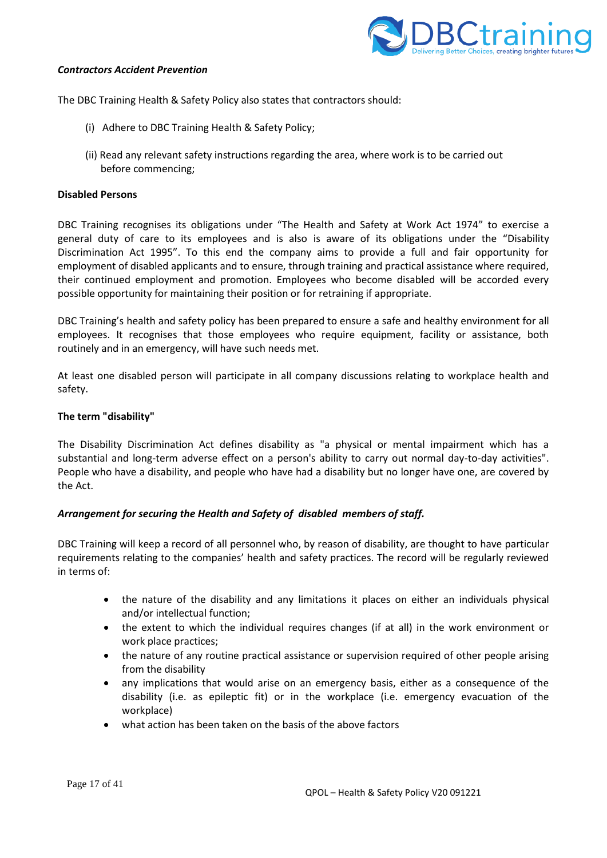

#### *Contractors Accident Prevention*

The DBC Training Health & Safety Policy also states that contractors should:

- (i) Adhere to DBC Training Health & Safety Policy;
- (ii) Read any relevant safety instructions regarding the area, where work is to be carried out before commencing;

#### **Disabled Persons**

DBC Training recognises its obligations under "The Health and Safety at Work Act 1974" to exercise a general duty of care to its employees and is also is aware of its obligations under the "Disability Discrimination Act 1995". To this end the company aims to provide a full and fair opportunity for employment of disabled applicants and to ensure, through training and practical assistance where required, their continued employment and promotion. Employees who become disabled will be accorded every possible opportunity for maintaining their position or for retraining if appropriate.

DBC Training's health and safety policy has been prepared to ensure a safe and healthy environment for all employees. It recognises that those employees who require equipment, facility or assistance, both routinely and in an emergency, will have such needs met.

At least one disabled person will participate in all company discussions relating to workplace health and safety.

#### **The term "disability"**

The Disability Discrimination Act defines disability as "a physical or mental impairment which has a substantial and long-term adverse effect on a person's ability to carry out normal day-to-day activities". People who have a disability, and people who have had a disability but no longer have one, are covered by the Act.

## *Arrangement for securing the Health and Safety of disabled members of staff.*

DBC Training will keep a record of all personnel who, by reason of disability, are thought to have particular requirements relating to the companies' health and safety practices. The record will be regularly reviewed in terms of:

- the nature of the disability and any limitations it places on either an individuals physical and/or intellectual function;
- the extent to which the individual requires changes (if at all) in the work environment or work place practices;
- the nature of any routine practical assistance or supervision required of other people arising from the disability
- any implications that would arise on an emergency basis, either as a consequence of the disability (i.e. as epileptic fit) or in the workplace (i.e. emergency evacuation of the workplace)
- what action has been taken on the basis of the above factors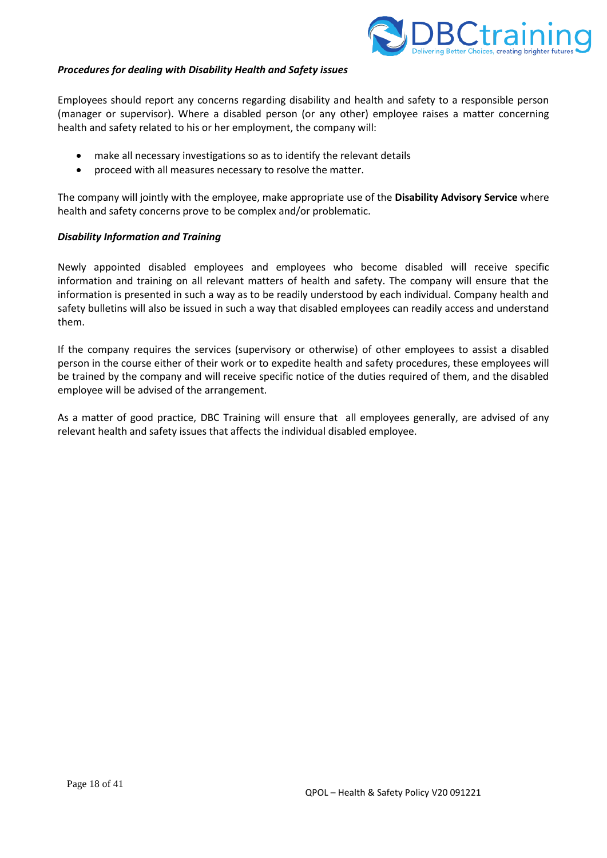

#### *Procedures for dealing with Disability Health and Safety issues*

Employees should report any concerns regarding disability and health and safety to a responsible person (manager or supervisor). Where a disabled person (or any other) employee raises a matter concerning health and safety related to his or her employment, the company will:

- make all necessary investigations so as to identify the relevant details
- proceed with all measures necessary to resolve the matter.

The company will jointly with the employee, make appropriate use of the **Disability Advisory Service** where health and safety concerns prove to be complex and/or problematic.

#### *Disability Information and Training*

Newly appointed disabled employees and employees who become disabled will receive specific information and training on all relevant matters of health and safety. The company will ensure that the information is presented in such a way as to be readily understood by each individual. Company health and safety bulletins will also be issued in such a way that disabled employees can readily access and understand them.

If the company requires the services (supervisory or otherwise) of other employees to assist a disabled person in the course either of their work or to expedite health and safety procedures, these employees will be trained by the company and will receive specific notice of the duties required of them, and the disabled employee will be advised of the arrangement.

As a matter of good practice, DBC Training will ensure that all employees generally, are advised of any relevant health and safety issues that affects the individual disabled employee.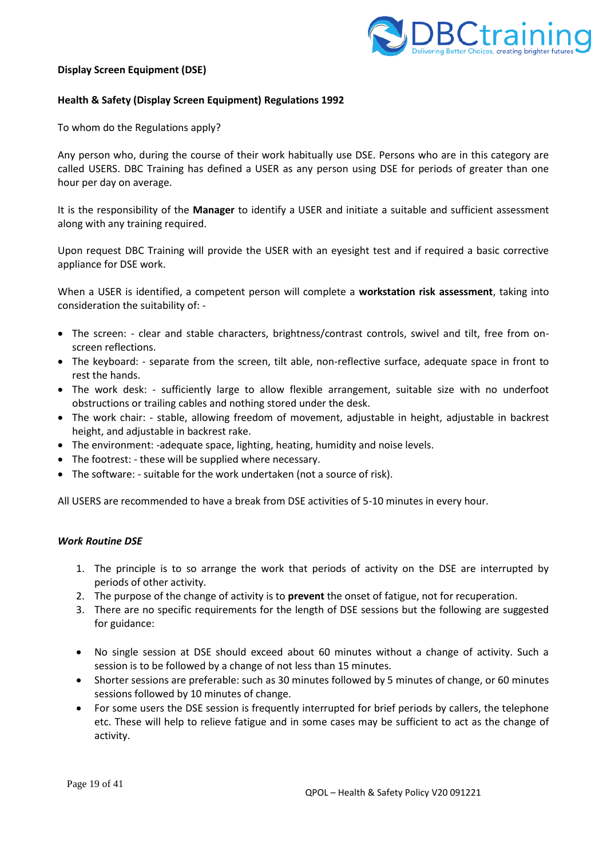

#### **Display Screen Equipment (DSE)**

#### **Health & Safety (Display Screen Equipment) Regulations 1992**

To whom do the Regulations apply?

Any person who, during the course of their work habitually use DSE. Persons who are in this category are called USERS. DBC Training has defined a USER as any person using DSE for periods of greater than one hour per day on average.

It is the responsibility of the **Manager** to identify a USER and initiate a suitable and sufficient assessment along with any training required.

Upon request DBC Training will provide the USER with an eyesight test and if required a basic corrective appliance for DSE work.

When a USER is identified, a competent person will complete a **workstation risk assessment**, taking into consideration the suitability of: -

- The screen: clear and stable characters, brightness/contrast controls, swivel and tilt, free from onscreen reflections.
- The keyboard: separate from the screen, tilt able, non-reflective surface, adequate space in front to rest the hands.
- The work desk: sufficiently large to allow flexible arrangement, suitable size with no underfoot obstructions or trailing cables and nothing stored under the desk.
- The work chair: stable, allowing freedom of movement, adjustable in height, adjustable in backrest height, and adjustable in backrest rake.
- The environment: -adequate space, lighting, heating, humidity and noise levels.
- The footrest: these will be supplied where necessary.
- The software: suitable for the work undertaken (not a source of risk).

All USERS are recommended to have a break from DSE activities of 5-10 minutes in every hour.

#### *Work Routine DSE*

- 1. The principle is to so arrange the work that periods of activity on the DSE are interrupted by periods of other activity.
- 2. The purpose of the change of activity is to **prevent** the onset of fatigue, not for recuperation.
- 3. There are no specific requirements for the length of DSE sessions but the following are suggested for guidance:
- No single session at DSE should exceed about 60 minutes without a change of activity. Such a session is to be followed by a change of not less than 15 minutes.
- Shorter sessions are preferable: such as 30 minutes followed by 5 minutes of change, or 60 minutes sessions followed by 10 minutes of change.
- For some users the DSE session is frequently interrupted for brief periods by callers, the telephone etc. These will help to relieve fatigue and in some cases may be sufficient to act as the change of activity.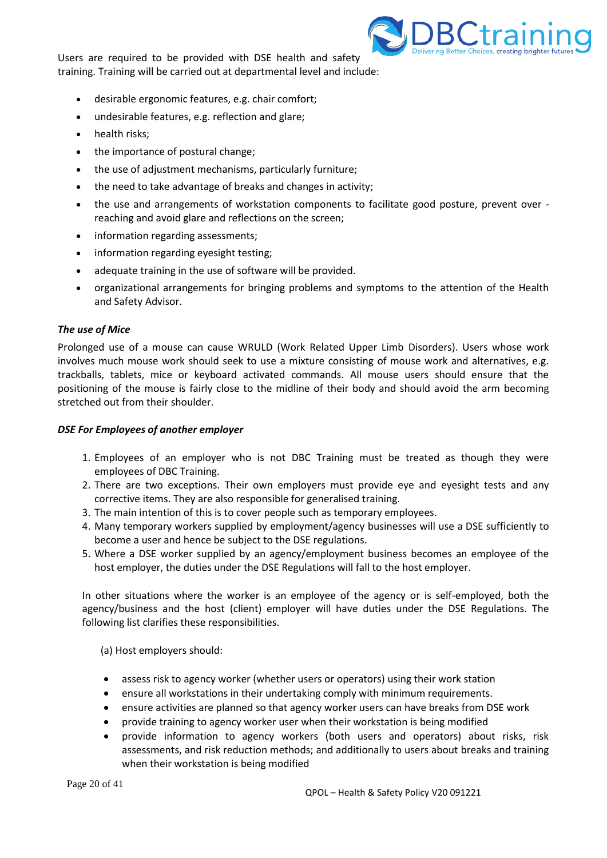Users are required to be provided with DSE health and safety training. Training will be carried out at departmental level and include:



- desirable ergonomic features, e.g. chair comfort;
- undesirable features, e.g. reflection and glare;
- health risks:
- the importance of postural change:
- the use of adjustment mechanisms, particularly furniture;
- the need to take advantage of breaks and changes in activity;
- the use and arrangements of workstation components to facilitate good posture, prevent over reaching and avoid glare and reflections on the screen;
- information regarding assessments;
- information regarding eyesight testing;
- adequate training in the use of software will be provided.
- organizational arrangements for bringing problems and symptoms to the attention of the Health and Safety Advisor.

#### *The use of Mice*

Prolonged use of a mouse can cause WRULD (Work Related Upper Limb Disorders). Users whose work involves much mouse work should seek to use a mixture consisting of mouse work and alternatives, e.g. trackballs, tablets, mice or keyboard activated commands. All mouse users should ensure that the positioning of the mouse is fairly close to the midline of their body and should avoid the arm becoming stretched out from their shoulder.

#### *DSE For Employees of another employer*

- 1. Employees of an employer who is not DBC Training must be treated as though they were employees of DBC Training.
- 2. There are two exceptions. Their own employers must provide eye and eyesight tests and any corrective items. They are also responsible for generalised training.
- 3. The main intention of this is to cover people such as temporary employees.
- 4. Many temporary workers supplied by employment/agency businesses will use a DSE sufficiently to become a user and hence be subject to the DSE regulations.
- 5. Where a DSE worker supplied by an agency/employment business becomes an employee of the host employer, the duties under the DSE Regulations will fall to the host employer.

In other situations where the worker is an employee of the agency or is self-employed, both the agency/business and the host (client) employer will have duties under the DSE Regulations. The following list clarifies these responsibilities.

(a) Host employers should:

- assess risk to agency worker (whether users or operators) using their work station
- ensure all workstations in their undertaking comply with minimum requirements.
- ensure activities are planned so that agency worker users can have breaks from DSE work
- provide training to agency worker user when their workstation is being modified
- provide information to agency workers (both users and operators) about risks, risk assessments, and risk reduction methods; and additionally to users about breaks and training when their workstation is being modified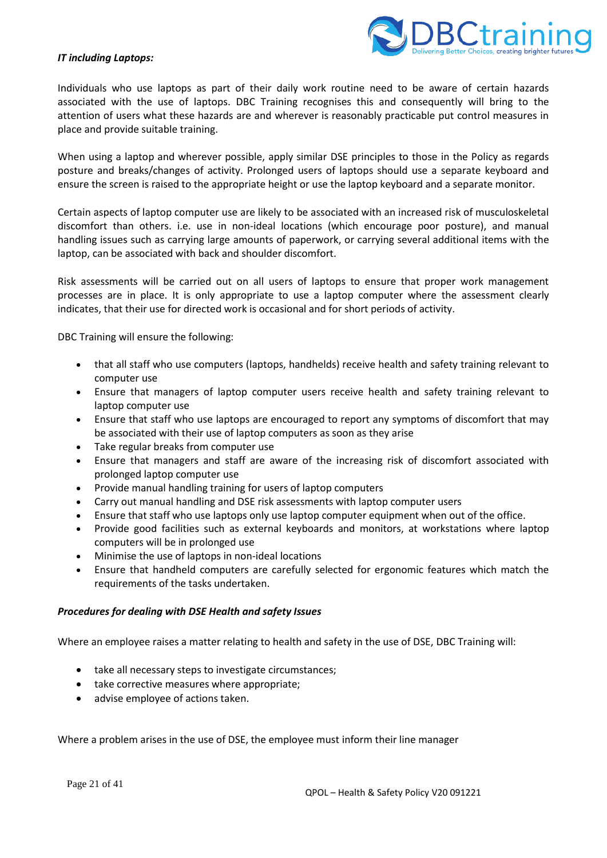

#### *IT including Laptops:*

Individuals who use laptops as part of their daily work routine need to be aware of certain hazards associated with the use of laptops. DBC Training recognises this and consequently will bring to the attention of users what these hazards are and wherever is reasonably practicable put control measures in place and provide suitable training.

When using a laptop and wherever possible, apply similar DSE principles to those in the Policy as regards posture and breaks/changes of activity. Prolonged users of laptops should use a separate keyboard and ensure the screen is raised to the appropriate height or use the laptop keyboard and a separate monitor.

Certain aspects of laptop computer use are likely to be associated with an increased risk of musculoskeletal discomfort than others. i.e. use in non-ideal locations (which encourage poor posture), and manual handling issues such as carrying large amounts of paperwork, or carrying several additional items with the laptop, can be associated with back and shoulder discomfort.

Risk assessments will be carried out on all users of laptops to ensure that proper work management processes are in place. It is only appropriate to use a laptop computer where the assessment clearly indicates, that their use for directed work is occasional and for short periods of activity.

DBC Training will ensure the following:

- that all staff who use computers (laptops, handhelds) receive health and safety training relevant to computer use
- Ensure that managers of laptop computer users receive health and safety training relevant to laptop computer use
- Ensure that staff who use laptops are encouraged to report any symptoms of discomfort that may be associated with their use of laptop computers as soon as they arise
- Take regular breaks from computer use
- Ensure that managers and staff are aware of the increasing risk of discomfort associated with prolonged laptop computer use
- Provide manual handling training for users of laptop computers
- Carry out manual handling and DSE risk assessments with laptop computer users
- Ensure that staff who use laptops only use laptop computer equipment when out of the office.
- Provide good facilities such as external keyboards and monitors, at workstations where laptop computers will be in prolonged use
- Minimise the use of laptops in non-ideal locations
- Ensure that handheld computers are carefully selected for ergonomic features which match the requirements of the tasks undertaken.

#### *Procedures for dealing with DSE Health and safety Issues*

Where an employee raises a matter relating to health and safety in the use of DSE, DBC Training will:

- take all necessary steps to investigate circumstances;
- take corrective measures where appropriate;
- advise employee of actions taken.

Where a problem arises in the use of DSE, the employee must inform their line manager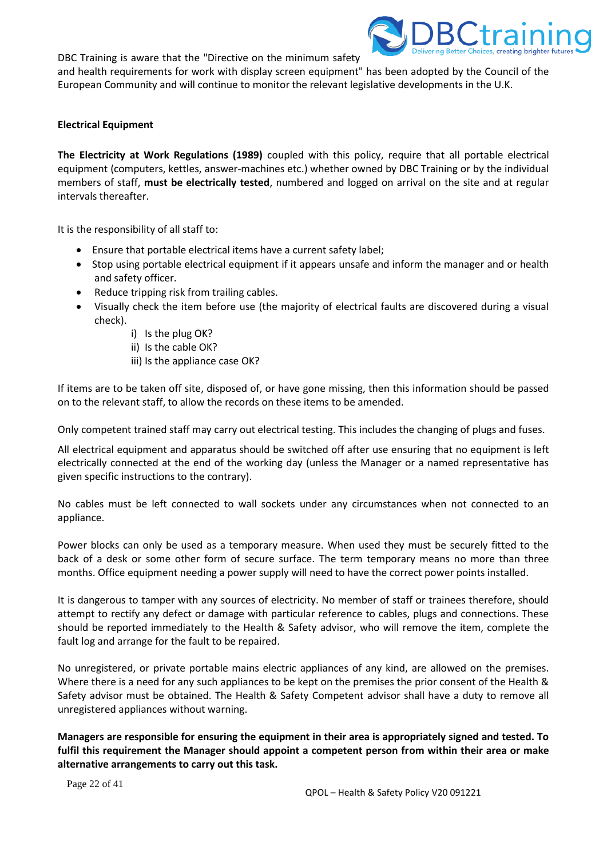DBC Training is aware that the "Directive on the minimum safety



and health requirements for work with display screen equipment" has been adopted by the Council of the European Community and will continue to monitor the relevant legislative developments in the U.K.

# **Electrical Equipment**

**The Electricity at Work Regulations (1989)** coupled with this policy, require that all portable electrical equipment (computers, kettles, answer-machines etc.) whether owned by DBC Training or by the individual members of staff, **must be electrically tested**, numbered and logged on arrival on the site and at regular intervals thereafter.

It is the responsibility of all staff to:

- Ensure that portable electrical items have a current safety label;
- Stop using portable electrical equipment if it appears unsafe and inform the manager and or health and safety officer.
- Reduce tripping risk from trailing cables.
- Visually check the item before use (the majority of electrical faults are discovered during a visual check).
	- i) Is the plug OK?
	- ii) Is the cable OK?
	- iii) Is the appliance case OK?

If items are to be taken off site, disposed of, or have gone missing, then this information should be passed on to the relevant staff, to allow the records on these items to be amended.

Only competent trained staff may carry out electrical testing. This includes the changing of plugs and fuses.

All electrical equipment and apparatus should be switched off after use ensuring that no equipment is left electrically connected at the end of the working day (unless the Manager or a named representative has given specific instructions to the contrary).

No cables must be left connected to wall sockets under any circumstances when not connected to an appliance.

Power blocks can only be used as a temporary measure. When used they must be securely fitted to the back of a desk or some other form of secure surface. The term temporary means no more than three months. Office equipment needing a power supply will need to have the correct power points installed.

It is dangerous to tamper with any sources of electricity. No member of staff or trainees therefore, should attempt to rectify any defect or damage with particular reference to cables, plugs and connections. These should be reported immediately to the Health & Safety advisor, who will remove the item, complete the fault log and arrange for the fault to be repaired.

No unregistered, or private portable mains electric appliances of any kind, are allowed on the premises. Where there is a need for any such appliances to be kept on the premises the prior consent of the Health & Safety advisor must be obtained. The Health & Safety Competent advisor shall have a duty to remove all unregistered appliances without warning.

**Managers are responsible for ensuring the equipment in their area is appropriately signed and tested. To fulfil this requirement the Manager should appoint a competent person from within their area or make alternative arrangements to carry out this task.**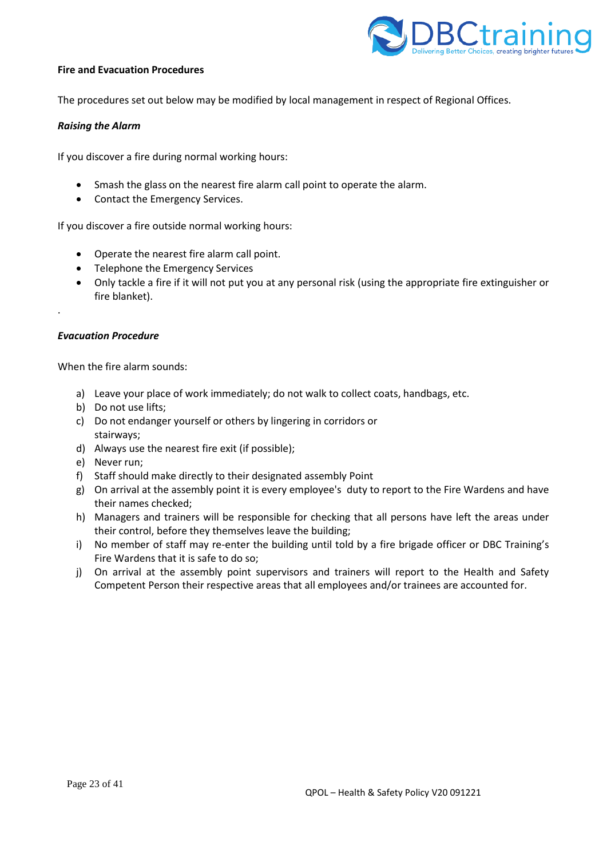

#### **Fire and Evacuation Procedures**

The procedures set out below may be modified by local management in respect of Regional Offices.

#### *Raising the Alarm*

If you discover a fire during normal working hours:

- Smash the glass on the nearest fire alarm call point to operate the alarm.
- Contact the Emergency Services.

If you discover a fire outside normal working hours:

- Operate the nearest fire alarm call point.
- Telephone the Emergency Services
- Only tackle a fire if it will not put you at any personal risk (using the appropriate fire extinguisher or fire blanket).

#### *Evacuation Procedure*

.

When the fire alarm sounds:

- a) Leave your place of work immediately; do not walk to collect coats, handbags, etc.
- b) Do not use lifts;
- c) Do not endanger yourself or others by lingering in corridors or stairways;
- d) Always use the nearest fire exit (if possible);
- e) Never run;
- f) Staff should make directly to their designated assembly Point
- g) On arrival at the assembly point it is every employee's duty to report to the Fire Wardens and have their names checked;
- h) Managers and trainers will be responsible for checking that all persons have left the areas under their control, before they themselves leave the building;
- i) No member of staff may re-enter the building until told by a fire brigade officer or DBC Training's Fire Wardens that it is safe to do so;
- j) On arrival at the assembly point supervisors and trainers will report to the Health and Safety Competent Person their respective areas that all employees and/or trainees are accounted for.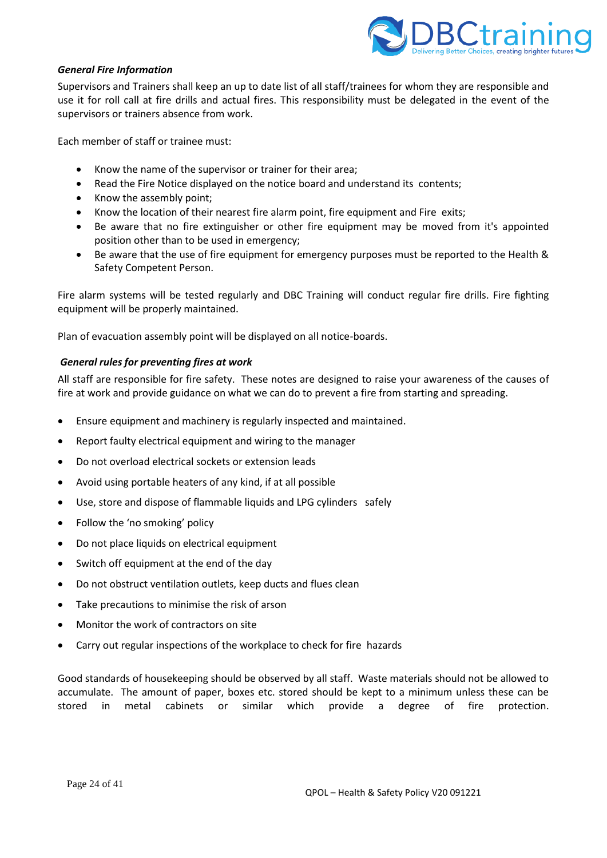

## *General Fire Information*

Supervisors and Trainers shall keep an up to date list of all staff/trainees for whom they are responsible and use it for roll call at fire drills and actual fires. This responsibility must be delegated in the event of the supervisors or trainers absence from work.

Each member of staff or trainee must:

- Know the name of the supervisor or trainer for their area;
- Read the Fire Notice displayed on the notice board and understand its contents;
- Know the assembly point;
- Know the location of their nearest fire alarm point, fire equipment and Fire exits;
- Be aware that no fire extinguisher or other fire equipment may be moved from it's appointed position other than to be used in emergency;
- Be aware that the use of fire equipment for emergency purposes must be reported to the Health & Safety Competent Person.

Fire alarm systems will be tested regularly and DBC Training will conduct regular fire drills. Fire fighting equipment will be properly maintained.

Plan of evacuation assembly point will be displayed on all notice-boards.

#### *General rules for preventing fires at work*

All staff are responsible for fire safety. These notes are designed to raise your awareness of the causes of fire at work and provide guidance on what we can do to prevent a fire from starting and spreading.

- Ensure equipment and machinery is regularly inspected and maintained.
- Report faulty electrical equipment and wiring to the manager
- Do not overload electrical sockets or extension leads
- Avoid using portable heaters of any kind, if at all possible
- Use, store and dispose of flammable liquids and LPG cylinders safely
- Follow the 'no smoking' policy
- Do not place liquids on electrical equipment
- Switch off equipment at the end of the day
- Do not obstruct ventilation outlets, keep ducts and flues clean
- Take precautions to minimise the risk of arson
- Monitor the work of contractors on site
- Carry out regular inspections of the workplace to check for fire hazards

Good standards of housekeeping should be observed by all staff. Waste materials should not be allowed to accumulate. The amount of paper, boxes etc. stored should be kept to a minimum unless these can be stored in metal cabinets or similar which provide a degree of fire protection.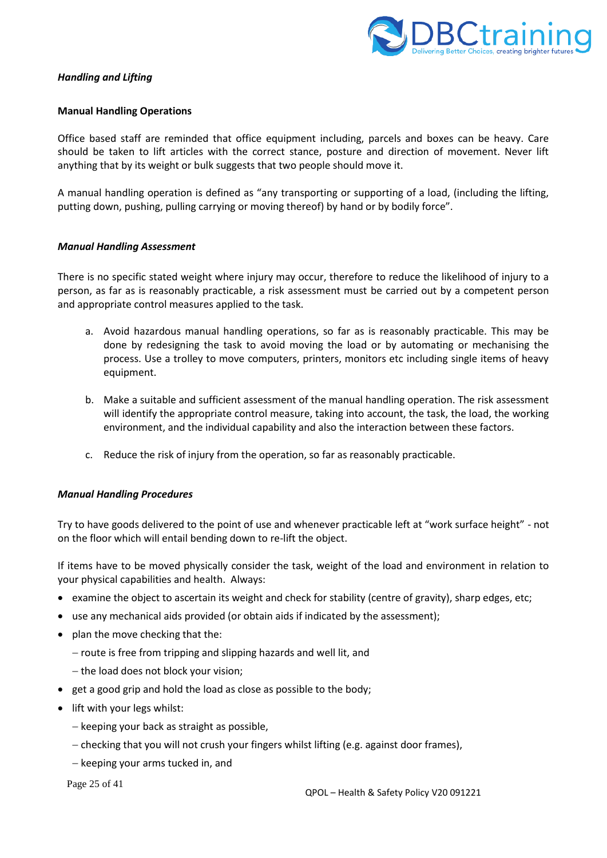

# *Handling and Lifting*

## **Manual Handling Operations**

Office based staff are reminded that office equipment including, parcels and boxes can be heavy. Care should be taken to lift articles with the correct stance, posture and direction of movement. Never lift anything that by its weight or bulk suggests that two people should move it.

A manual handling operation is defined as "any transporting or supporting of a load, (including the lifting, putting down, pushing, pulling carrying or moving thereof) by hand or by bodily force".

## *Manual Handling Assessment*

There is no specific stated weight where injury may occur, therefore to reduce the likelihood of injury to a person, as far as is reasonably practicable, a risk assessment must be carried out by a competent person and appropriate control measures applied to the task.

- a. Avoid hazardous manual handling operations, so far as is reasonably practicable. This may be done by redesigning the task to avoid moving the load or by automating or mechanising the process. Use a trolley to move computers, printers, monitors etc including single items of heavy equipment.
- b. Make a suitable and sufficient assessment of the manual handling operation. The risk assessment will identify the appropriate control measure, taking into account, the task, the load, the working environment, and the individual capability and also the interaction between these factors.
- c. Reduce the risk of injury from the operation, so far as reasonably practicable.

## *Manual Handling Procedures*

Try to have goods delivered to the point of use and whenever practicable left at "work surface height" - not on the floor which will entail bending down to re-lift the object.

If items have to be moved physically consider the task, weight of the load and environment in relation to your physical capabilities and health. Always:

- examine the object to ascertain its weight and check for stability (centre of gravity), sharp edges, etc;
- use any mechanical aids provided (or obtain aids if indicated by the assessment);
- plan the move checking that the:
	- − route is free from tripping and slipping hazards and well lit, and
	- − the load does not block your vision;
- get a good grip and hold the load as close as possible to the body;
- lift with your legs whilst:
	- − keeping your back as straight as possible,
	- − checking that you will not crush your fingers whilst lifting (e.g. against door frames),
	- − keeping your arms tucked in, and

Page 25 of 41

QPOL – Health & Safety Policy V20 091221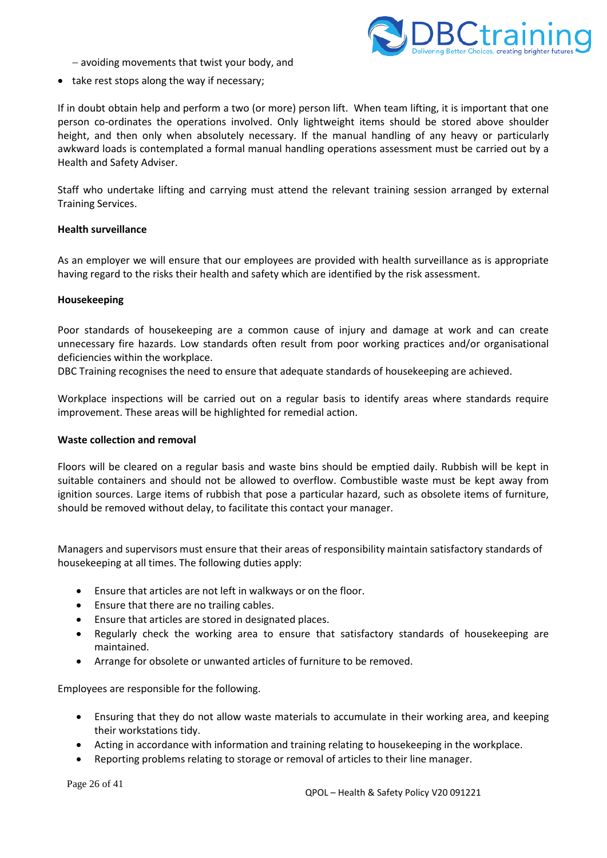

- − avoiding movements that twist your body, and
- take rest stops along the way if necessary;

If in doubt obtain help and perform a two (or more) person lift. When team lifting, it is important that one person co-ordinates the operations involved. Only lightweight items should be stored above shoulder height, and then only when absolutely necessary. If the manual handling of any heavy or particularly awkward loads is contemplated a formal manual handling operations assessment must be carried out by a Health and Safety Adviser.

Staff who undertake lifting and carrying must attend the relevant training session arranged by external Training Services.

# **Health surveillance**

As an employer we will ensure that our employees are provided with health surveillance as is appropriate having regard to the risks their health and safety which are identified by the risk assessment.

#### **Housekeeping**

Poor standards of housekeeping are a common cause of injury and damage at work and can create unnecessary fire hazards. Low standards often result from poor working practices and/or organisational deficiencies within the workplace.

DBC Training recognises the need to ensure that adequate standards of housekeeping are achieved.

Workplace inspections will be carried out on a regular basis to identify areas where standards require improvement. These areas will be highlighted for remedial action.

#### **Waste collection and removal**

Floors will be cleared on a regular basis and waste bins should be emptied daily. Rubbish will be kept in suitable containers and should not be allowed to overflow. Combustible waste must be kept away from ignition sources. Large items of rubbish that pose a particular hazard, such as obsolete items of furniture, should be removed without delay, to facilitate this contact your manager.

Managers and supervisors must ensure that their areas of responsibility maintain satisfactory standards of housekeeping at all times. The following duties apply:

- Ensure that articles are not left in walkways or on the floor.
- Ensure that there are no trailing cables.
- Ensure that articles are stored in designated places.
- Regularly check the working area to ensure that satisfactory standards of housekeeping are maintained.
- Arrange for obsolete or unwanted articles of furniture to be removed.

Employees are responsible for the following.

- Ensuring that they do not allow waste materials to accumulate in their working area, and keeping their workstations tidy.
- Acting in accordance with information and training relating to housekeeping in the workplace.
- Reporting problems relating to storage or removal of articles to their line manager.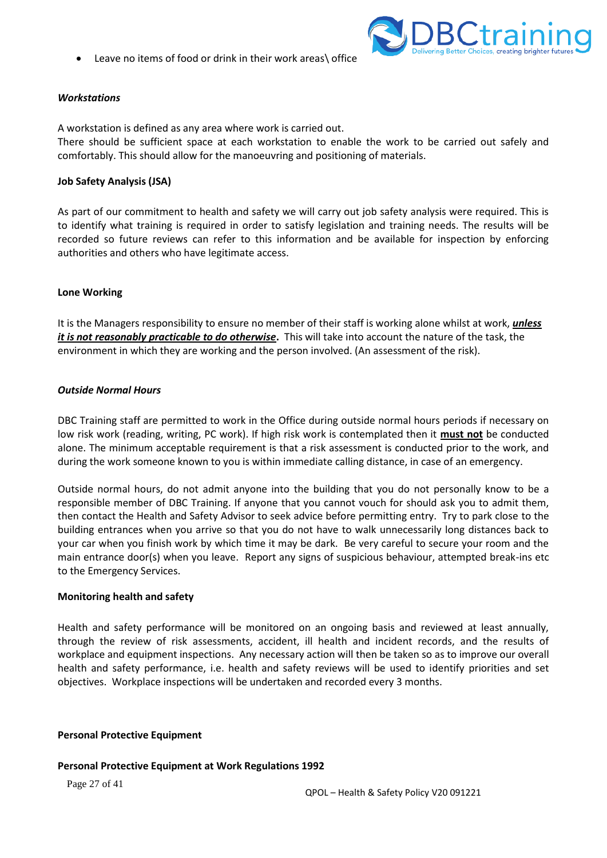Leave no items of food or drink in their work areas\ office



# *Workstations*

A workstation is defined as any area where work is carried out.

There should be sufficient space at each workstation to enable the work to be carried out safely and comfortably. This should allow for the manoeuvring and positioning of materials.

## **Job Safety Analysis (JSA)**

As part of our commitment to health and safety we will carry out job safety analysis were required. This is to identify what training is required in order to satisfy legislation and training needs. The results will be recorded so future reviews can refer to this information and be available for inspection by enforcing authorities and others who have legitimate access.

# **Lone Working**

It is the Managers responsibility to ensure no member of their staff is working alone whilst at work, *unless it is not reasonably practicable to do otherwise***.** This will take into account the nature of the task, the environment in which they are working and the person involved. (An assessment of the risk).

## *Outside Normal Hours*

DBC Training staff are permitted to work in the Office during outside normal hours periods if necessary on low risk work (reading, writing, PC work). If high risk work is contemplated then it **must not** be conducted alone. The minimum acceptable requirement is that a risk assessment is conducted prior to the work, and during the work someone known to you is within immediate calling distance, in case of an emergency.

Outside normal hours, do not admit anyone into the building that you do not personally know to be a responsible member of DBC Training. If anyone that you cannot vouch for should ask you to admit them, then contact the Health and Safety Advisor to seek advice before permitting entry. Try to park close to the building entrances when you arrive so that you do not have to walk unnecessarily long distances back to your car when you finish work by which time it may be dark. Be very careful to secure your room and the main entrance door(s) when you leave. Report any signs of suspicious behaviour, attempted break-ins etc to the Emergency Services.

## **Monitoring health and safety**

Health and safety performance will be monitored on an ongoing basis and reviewed at least annually, through the review of risk assessments, accident, ill health and incident records, and the results of workplace and equipment inspections. Any necessary action will then be taken so as to improve our overall health and safety performance, i.e. health and safety reviews will be used to identify priorities and set objectives. Workplace inspections will be undertaken and recorded every 3 months.

## **Personal Protective Equipment**

## **Personal Protective Equipment at Work Regulations 1992**

Page 27 of 41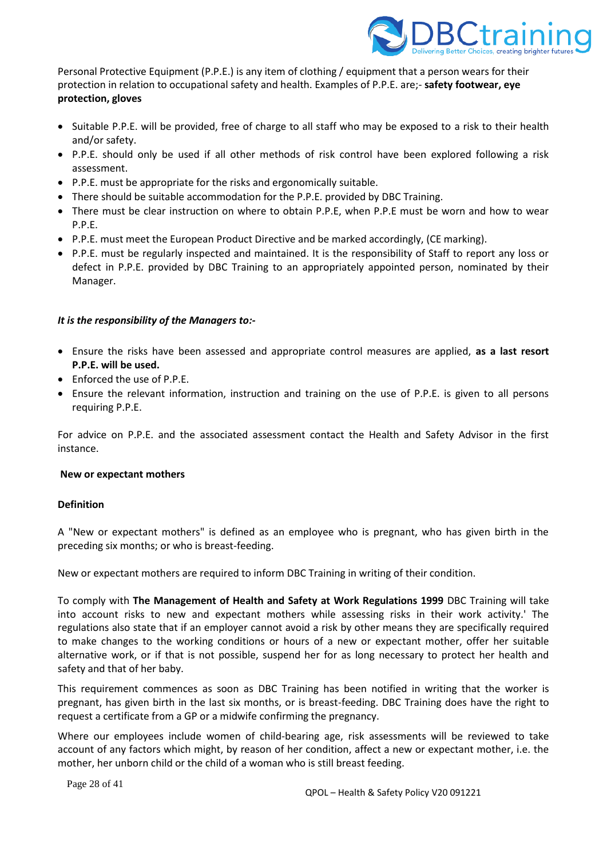

Personal Protective Equipment (P.P.E.) is any item of clothing / equipment that a person wears for their protection in relation to occupational safety and health. Examples of P.P.E. are;- **safety footwear, eye protection, gloves**

- Suitable P.P.E. will be provided, free of charge to all staff who may be exposed to a risk to their health and/or safety.
- P.P.E. should only be used if all other methods of risk control have been explored following a risk assessment.
- P.P.E. must be appropriate for the risks and ergonomically suitable.
- There should be suitable accommodation for the P.P.E. provided by DBC Training.
- There must be clear instruction on where to obtain P.P.E, when P.P.E must be worn and how to wear P.P.E.
- P.P.E. must meet the European Product Directive and be marked accordingly, (CE marking).
- P.P.E. must be regularly inspected and maintained. It is the responsibility of Staff to report any loss or defect in P.P.E. provided by DBC Training to an appropriately appointed person, nominated by their Manager.

# *It is the responsibility of the Managers to:-*

- Ensure the risks have been assessed and appropriate control measures are applied, **as a last resort P.P.E. will be used.**
- Enforced the use of P.P.E.
- Ensure the relevant information, instruction and training on the use of P.P.E. is given to all persons requiring P.P.E.

For advice on P.P.E. and the associated assessment contact the Health and Safety Advisor in the first instance.

## **New or expectant mothers**

# **Definition**

A "New or expectant mothers" is defined as an employee who is pregnant, who has given birth in the preceding six months; or who is breast-feeding.

New or expectant mothers are required to inform DBC Training in writing of their condition.

To comply with **The Management of Health and Safety at Work Regulations 1999** DBC Training will take into account risks to new and expectant mothers while assessing risks in their work activity.' The regulations also state that if an employer cannot avoid a risk by other means they are specifically required to make changes to the working conditions or hours of a new or expectant mother, offer her suitable alternative work, or if that is not possible, suspend her for as long necessary to protect her health and safety and that of her baby.

This requirement commences as soon as DBC Training has been notified in writing that the worker is pregnant, has given birth in the last six months, or is breast-feeding. DBC Training does have the right to request a certificate from a GP or a midwife confirming the pregnancy.

Where our employees include women of child-bearing age, risk assessments will be reviewed to take account of any factors which might, by reason of her condition, affect a new or expectant mother, i.e. the mother, her unborn child or the child of a woman who is still breast feeding.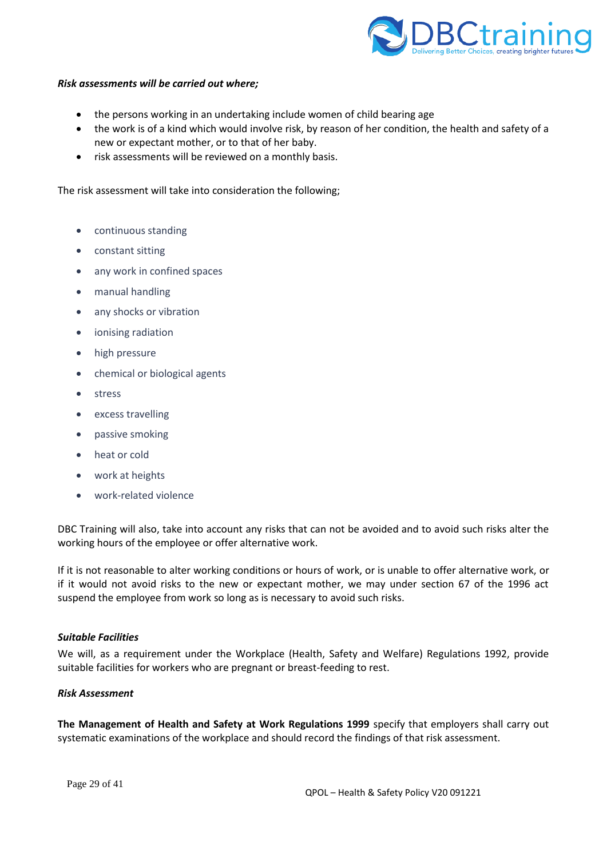

#### *Risk assessments will be carried out where;*

- the persons working in an undertaking include women of child bearing age
- the work is of a kind which would involve risk, by reason of her condition, the health and safety of a new or expectant mother, or to that of her baby.
- risk assessments will be reviewed on a monthly basis.

The risk assessment will take into consideration the following;

- continuous standing
- constant sitting
- any work in confined spaces
- manual handling
- any shocks or vibration
- ionising radiation
- high pressure
- chemical or biological agents
- stress
- excess travelling
- passive smoking
- heat or cold
- work at heights
- work-related violence

DBC Training will also, take into account any risks that can not be avoided and to avoid such risks alter the working hours of the employee or offer alternative work.

If it is not reasonable to alter working conditions or hours of work, or is unable to offer alternative work, or if it would not avoid risks to the new or expectant mother, we may under section 67 of the 1996 act suspend the employee from work so long as is necessary to avoid such risks.

#### *Suitable Facilities*

We will, as a requirement under the Workplace (Health, Safety and Welfare) Regulations 1992, provide suitable facilities for workers who are pregnant or breast-feeding to rest.

#### *Risk Assessment*

**The Management of Health and Safety at Work Regulations 1999** specify that employers shall carry out systematic examinations of the workplace and should record the findings of that risk assessment.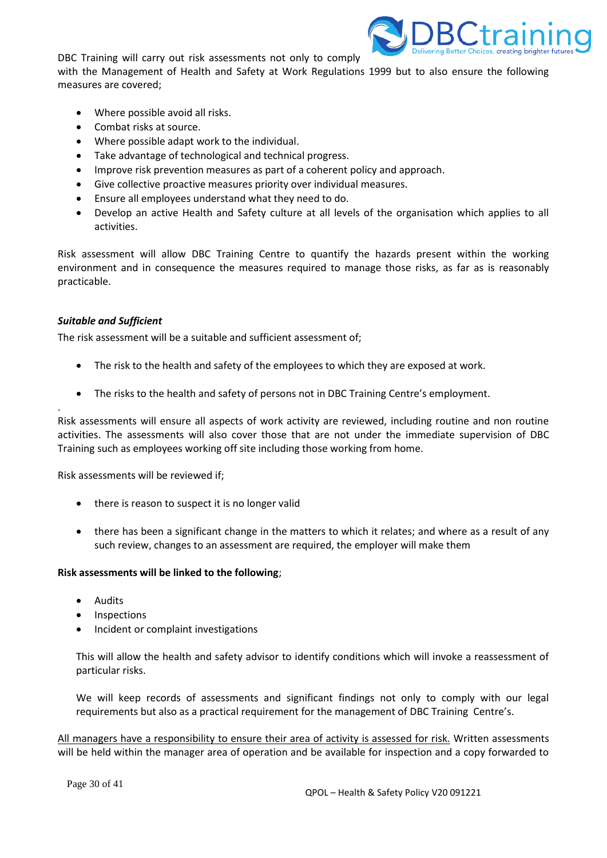DBC Training will carry out risk assessments not only to comply



with the Management of Health and Safety at Work Regulations 1999 but to also ensure the following measures are covered;

- Where possible avoid all risks.
- Combat risks at source.
- Where possible adapt work to the individual.
- Take advantage of technological and technical progress.
- Improve risk prevention measures as part of a coherent policy and approach.
- Give collective proactive measures priority over individual measures.
- Ensure all employees understand what they need to do.
- Develop an active Health and Safety culture at all levels of the organisation which applies to all activities.

Risk assessment will allow DBC Training Centre to quantify the hazards present within the working environment and in consequence the measures required to manage those risks, as far as is reasonably practicable.

## *Suitable and Sufficient*

.

The risk assessment will be a suitable and sufficient assessment of;

- The risk to the health and safety of the employees to which they are exposed at work.
- The risks to the health and safety of persons not in DBC Training Centre's employment.

Risk assessments will ensure all aspects of work activity are reviewed, including routine and non routine activities. The assessments will also cover those that are not under the immediate supervision of DBC Training such as employees working off site including those working from home.

Risk assessments will be reviewed if;

- there is reason to suspect it is no longer valid
- there has been a significant change in the matters to which it relates; and where as a result of any such review, changes to an assessment are required, the employer will make them

## **Risk assessments will be linked to the following**;

- Audits
- Inspections
- Incident or complaint investigations

This will allow the health and safety advisor to identify conditions which will invoke a reassessment of particular risks.

We will keep records of assessments and significant findings not only to comply with our legal requirements but also as a practical requirement for the management of DBC Training Centre's.

All managers have a responsibility to ensure their area of activity is assessed for risk. Written assessments will be held within the manager area of operation and be available for inspection and a copy forwarded to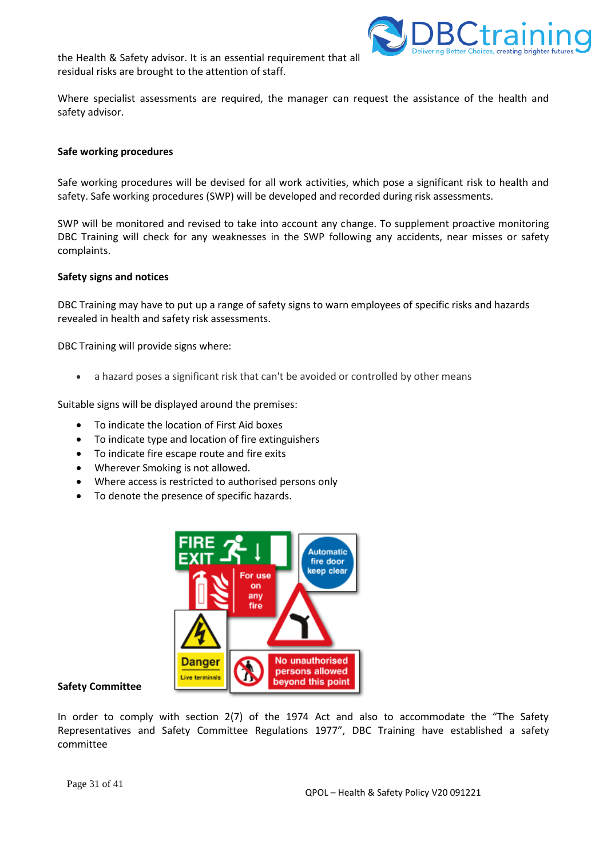the Health & Safety advisor. It is an essential requirement that all residual risks are brought to the attention of staff.



Where specialist assessments are required, the manager can request the assistance of the health and safety advisor.

#### **Safe working procedures**

Safe working procedures will be devised for all work activities, which pose a significant risk to health and safety. Safe working procedures (SWP) will be developed and recorded during risk assessments.

SWP will be monitored and revised to take into account any change. To supplement proactive monitoring DBC Training will check for any weaknesses in the SWP following any accidents, near misses or safety complaints.

#### **Safety signs and notices**

DBC Training may have to put up a range of safety signs to warn employees of specific risks and hazards revealed in health and safety risk assessments.

DBC Training will provide signs where:

• a hazard poses a significant risk that can't be avoided or controlled by other means

Suitable signs will be displayed around the premises:

- To indicate the location of First Aid boxes
- To indicate type and location of fire extinguishers
- To indicate fire escape route and fire exits
- Wherever Smoking is not allowed.
- Where access is restricted to authorised persons only
- To denote the presence of specific hazards.



#### **Safety Committee**

In order to comply with section 2(7) of the 1974 Act and also to accommodate the "The Safety Representatives and Safety Committee Regulations 1977", DBC Training have established a safety committee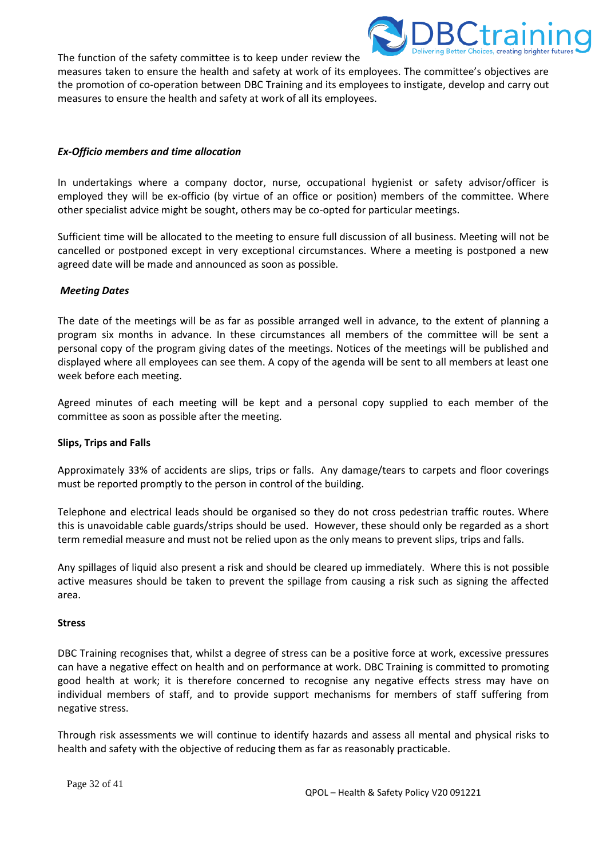The function of the safety committee is to keep under review the



measures taken to ensure the health and safety at work of its employees. The committee's objectives are the promotion of co-operation between DBC Training and its employees to instigate, develop and carry out measures to ensure the health and safety at work of all its employees.

## *Ex-Officio members and time allocation*

In undertakings where a company doctor, nurse, occupational hygienist or safety advisor/officer is employed they will be ex-officio (by virtue of an office or position) members of the committee. Where other specialist advice might be sought, others may be co-opted for particular meetings.

Sufficient time will be allocated to the meeting to ensure full discussion of all business. Meeting will not be cancelled or postponed except in very exceptional circumstances. Where a meeting is postponed a new agreed date will be made and announced as soon as possible.

## *Meeting Dates*

The date of the meetings will be as far as possible arranged well in advance, to the extent of planning a program six months in advance. In these circumstances all members of the committee will be sent a personal copy of the program giving dates of the meetings. Notices of the meetings will be published and displayed where all employees can see them. A copy of the agenda will be sent to all members at least one week before each meeting.

Agreed minutes of each meeting will be kept and a personal copy supplied to each member of the committee as soon as possible after the meeting.

## **Slips, Trips and Falls**

Approximately 33% of accidents are slips, trips or falls. Any damage/tears to carpets and floor coverings must be reported promptly to the person in control of the building.

Telephone and electrical leads should be organised so they do not cross pedestrian traffic routes. Where this is unavoidable cable guards/strips should be used. However, these should only be regarded as a short term remedial measure and must not be relied upon as the only means to prevent slips, trips and falls.

Any spillages of liquid also present a risk and should be cleared up immediately. Where this is not possible active measures should be taken to prevent the spillage from causing a risk such as signing the affected area.

## **Stress**

DBC Training recognises that, whilst a degree of stress can be a positive force at work, excessive pressures can have a negative effect on health and on performance at work. DBC Training is committed to promoting good health at work; it is therefore concerned to recognise any negative effects stress may have on individual members of staff, and to provide support mechanisms for members of staff suffering from negative stress.

Through risk assessments we will continue to identify hazards and assess all mental and physical risks to health and safety with the objective of reducing them as far as reasonably practicable.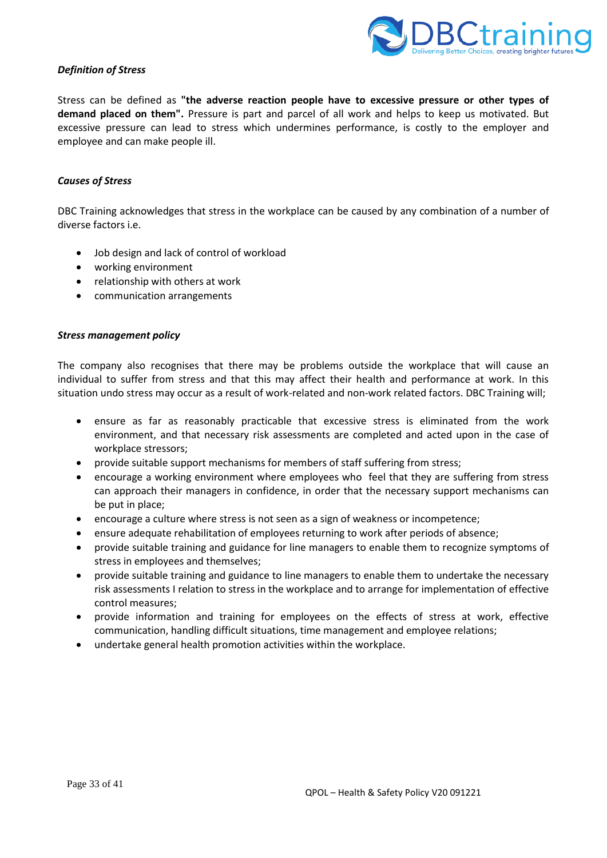

#### *Definition of Stress*

Stress can be defined as **"the adverse reaction people have to excessive pressure or other types of demand placed on them".** Pressure is part and parcel of all work and helps to keep us motivated. But excessive pressure can lead to stress which undermines performance, is costly to the employer and employee and can make people ill.

#### *Causes of Stress*

DBC Training acknowledges that stress in the workplace can be caused by any combination of a number of diverse factors i.e.

- Job design and lack of control of workload
- working environment
- relationship with others at work
- communication arrangements

#### *Stress management policy*

The company also recognises that there may be problems outside the workplace that will cause an individual to suffer from stress and that this may affect their health and performance at work. In this situation undo stress may occur as a result of work-related and non-work related factors. DBC Training will;

- ensure as far as reasonably practicable that excessive stress is eliminated from the work environment, and that necessary risk assessments are completed and acted upon in the case of workplace stressors;
- provide suitable support mechanisms for members of staff suffering from stress;
- encourage a working environment where employees who feel that they are suffering from stress can approach their managers in confidence, in order that the necessary support mechanisms can be put in place;
- encourage a culture where stress is not seen as a sign of weakness or incompetence;
- ensure adequate rehabilitation of employees returning to work after periods of absence;
- provide suitable training and guidance for line managers to enable them to recognize symptoms of stress in employees and themselves;
- provide suitable training and guidance to line managers to enable them to undertake the necessary risk assessments I relation to stress in the workplace and to arrange for implementation of effective control measures;
- provide information and training for employees on the effects of stress at work, effective communication, handling difficult situations, time management and employee relations;
- undertake general health promotion activities within the workplace.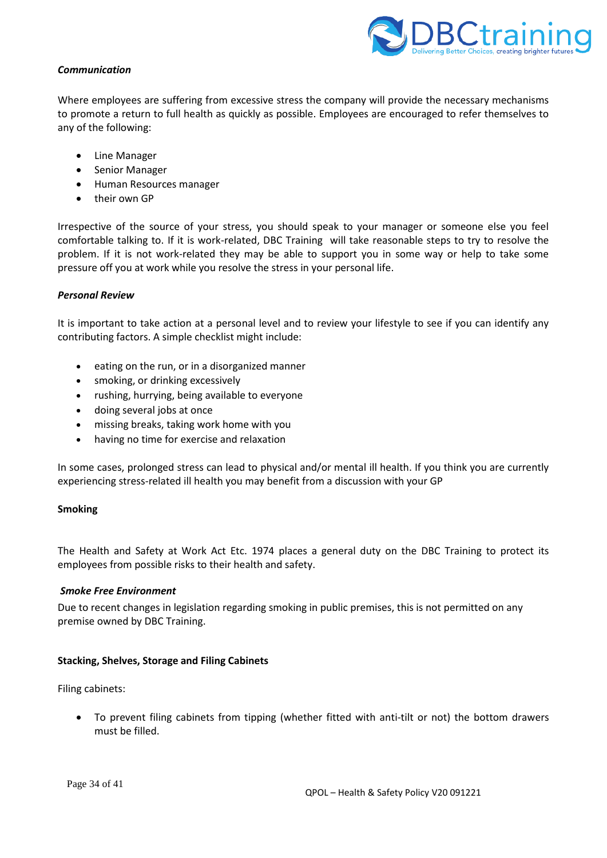

## *Communication*

Where employees are suffering from excessive stress the company will provide the necessary mechanisms to promote a return to full health as quickly as possible. Employees are encouraged to refer themselves to any of the following:

- Line Manager
- Senior Manager
- Human Resources manager
- their own GP

Irrespective of the source of your stress, you should speak to your manager or someone else you feel comfortable talking to. If it is work-related, DBC Training will take reasonable steps to try to resolve the problem. If it is not work-related they may be able to support you in some way or help to take some pressure off you at work while you resolve the stress in your personal life.

## *Personal Review*

It is important to take action at a personal level and to review your lifestyle to see if you can identify any contributing factors. A simple checklist might include:

- eating on the run, or in a disorganized manner
- smoking, or drinking excessively
- rushing, hurrying, being available to everyone
- doing several jobs at once
- missing breaks, taking work home with you
- having no time for exercise and relaxation

In some cases, prolonged stress can lead to physical and/or mental ill health. If you think you are currently experiencing stress-related ill health you may benefit from a discussion with your GP

## **Smoking**

The Health and Safety at Work Act Etc. 1974 places a general duty on the DBC Training to protect its employees from possible risks to their health and safety.

#### *Smoke Free Environment*

Due to recent changes in legislation regarding smoking in public premises, this is not permitted on any premise owned by DBC Training.

## **Stacking, Shelves, Storage and Filing Cabinets**

Filing cabinets:

• To prevent filing cabinets from tipping (whether fitted with anti-tilt or not) the bottom drawers must be filled.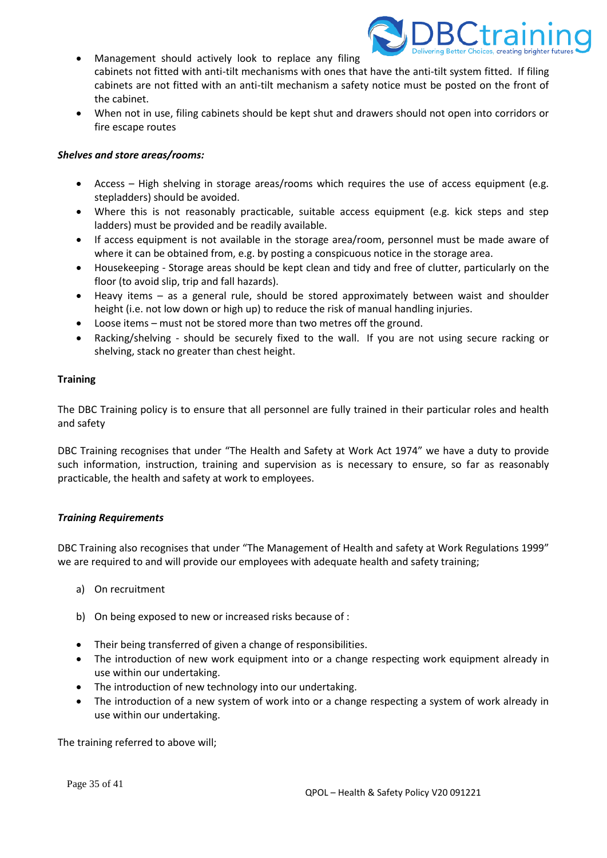

- Management should actively look to replace any filing cabinets not fitted with anti-tilt mechanisms with ones that have the anti-tilt system fitted. If filing cabinets are not fitted with an anti-tilt mechanism a safety notice must be posted on the front of the cabinet.
- When not in use, filing cabinets should be kept shut and drawers should not open into corridors or fire escape routes

#### *Shelves and store areas/rooms:*

- Access High shelving in storage areas/rooms which requires the use of access equipment (e.g. stepladders) should be avoided.
- Where this is not reasonably practicable, suitable access equipment (e.g. kick steps and step ladders) must be provided and be readily available.
- If access equipment is not available in the storage area/room, personnel must be made aware of where it can be obtained from, e.g. by posting a conspicuous notice in the storage area.
- Housekeeping Storage areas should be kept clean and tidy and free of clutter, particularly on the floor (to avoid slip, trip and fall hazards).
- Heavy items as a general rule, should be stored approximately between waist and shoulder height (i.e. not low down or high up) to reduce the risk of manual handling injuries.
- Loose items must not be stored more than two metres off the ground.
- Racking/shelving should be securely fixed to the wall. If you are not using secure racking or shelving, stack no greater than chest height.

#### **Training**

The DBC Training policy is to ensure that all personnel are fully trained in their particular roles and health and safety

DBC Training recognises that under "The Health and Safety at Work Act 1974" we have a duty to provide such information, instruction, training and supervision as is necessary to ensure, so far as reasonably practicable, the health and safety at work to employees.

## *Training Requirements*

DBC Training also recognises that under "The Management of Health and safety at Work Regulations 1999" we are required to and will provide our employees with adequate health and safety training;

- a) On recruitment
- b) On being exposed to new or increased risks because of :
- Their being transferred of given a change of responsibilities.
- The introduction of new work equipment into or a change respecting work equipment already in use within our undertaking.
- The introduction of new technology into our undertaking.
- The introduction of a new system of work into or a change respecting a system of work already in use within our undertaking.

The training referred to above will;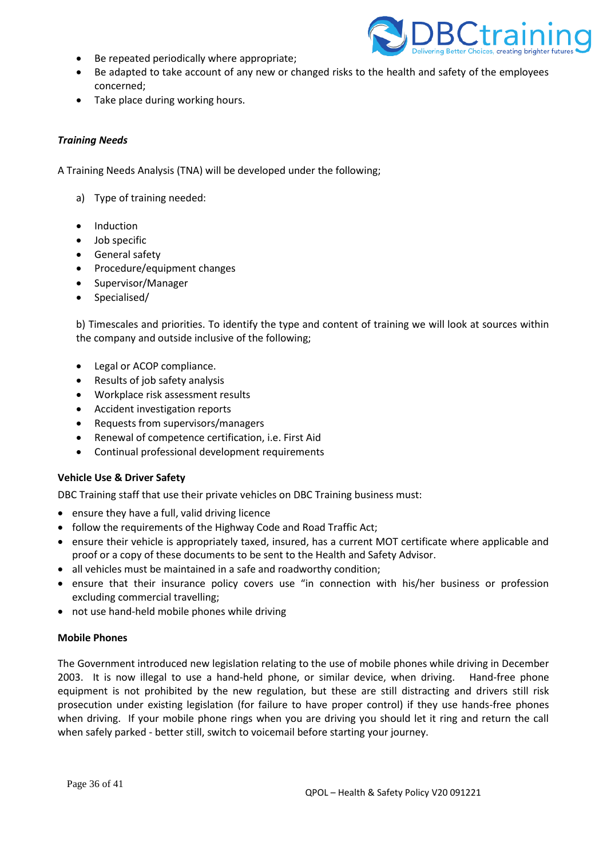• Be repeated periodically where appropriate;



- Be adapted to take account of any new or changed risks to the health and safety of the employees concerned;
- Take place during working hours.

# *Training Needs*

A Training Needs Analysis (TNA) will be developed under the following;

- a) Type of training needed:
- Induction
- Job specific
- General safety
- Procedure/equipment changes
- Supervisor/Manager
- Specialised/

b) Timescales and priorities. To identify the type and content of training we will look at sources within the company and outside inclusive of the following;

- Legal or ACOP compliance.
- Results of job safety analysis
- Workplace risk assessment results
- Accident investigation reports
- Requests from supervisors/managers
- Renewal of competence certification, i.e. First Aid
- Continual professional development requirements

## **Vehicle Use & Driver Safety**

DBC Training staff that use their private vehicles on DBC Training business must:

- ensure they have a full, valid driving licence
- follow the requirements of the Highway Code and Road Traffic Act;
- ensure their vehicle is appropriately taxed, insured, has a current MOT certificate where applicable and proof or a copy of these documents to be sent to the Health and Safety Advisor.
- all vehicles must be maintained in a safe and roadworthy condition;
- ensure that their insurance policy covers use "in connection with his/her business or profession excluding commercial travelling;
- not use hand-held mobile phones while driving

## **Mobile Phones**

The Government introduced new legislation relating to the use of mobile phones while driving in December 2003. It is now illegal to use a hand-held phone, or similar device, when driving. Hand-free phone equipment is not prohibited by the new regulation, but these are still distracting and drivers still risk prosecution under existing legislation (for failure to have proper control) if they use hands-free phones when driving. If your mobile phone rings when you are driving you should let it ring and return the call when safely parked - better still, switch to voicemail before starting your journey.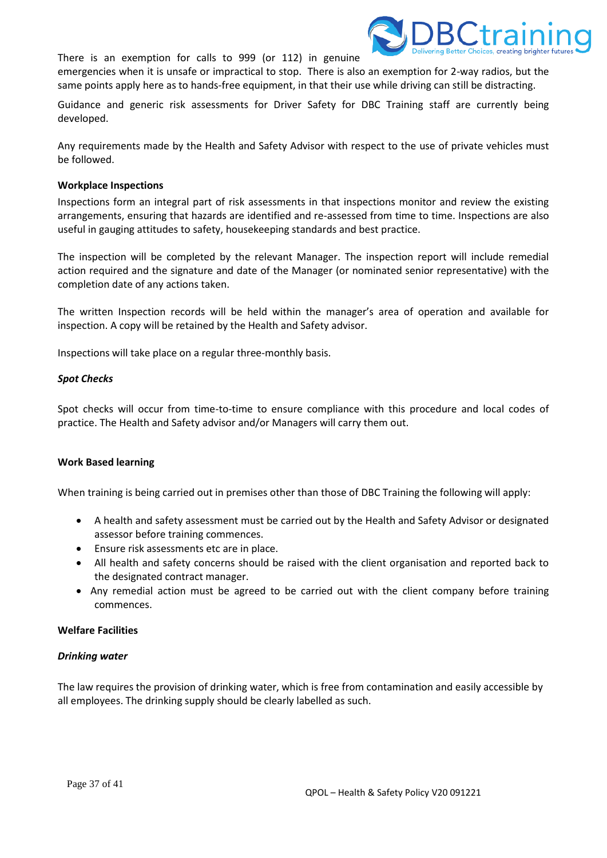



emergencies when it is unsafe or impractical to stop. There is also an exemption for 2-way radios, but the same points apply here as to hands-free equipment, in that their use while driving can still be distracting.

Guidance and generic risk assessments for Driver Safety for DBC Training staff are currently being developed.

Any requirements made by the Health and Safety Advisor with respect to the use of private vehicles must be followed.

#### **Workplace Inspections**

Inspections form an integral part of risk assessments in that inspections monitor and review the existing arrangements, ensuring that hazards are identified and re-assessed from time to time. Inspections are also useful in gauging attitudes to safety, housekeeping standards and best practice.

The inspection will be completed by the relevant Manager. The inspection report will include remedial action required and the signature and date of the Manager (or nominated senior representative) with the completion date of any actions taken.

The written Inspection records will be held within the manager's area of operation and available for inspection. A copy will be retained by the Health and Safety advisor.

Inspections will take place on a regular three-monthly basis.

#### *Spot Checks*

Spot checks will occur from time-to-time to ensure compliance with this procedure and local codes of practice. The Health and Safety advisor and/or Managers will carry them out.

## **Work Based learning**

When training is being carried out in premises other than those of DBC Training the following will apply:

- A health and safety assessment must be carried out by the Health and Safety Advisor or designated assessor before training commences.
- Ensure risk assessments etc are in place.
- All health and safety concerns should be raised with the client organisation and reported back to the designated contract manager.
- Any remedial action must be agreed to be carried out with the client company before training commences.

## **Welfare Facilities**

#### *Drinking water*

The law requires the provision of drinking water, which is free from contamination and easily accessible by all employees. The drinking supply should be clearly labelled as such.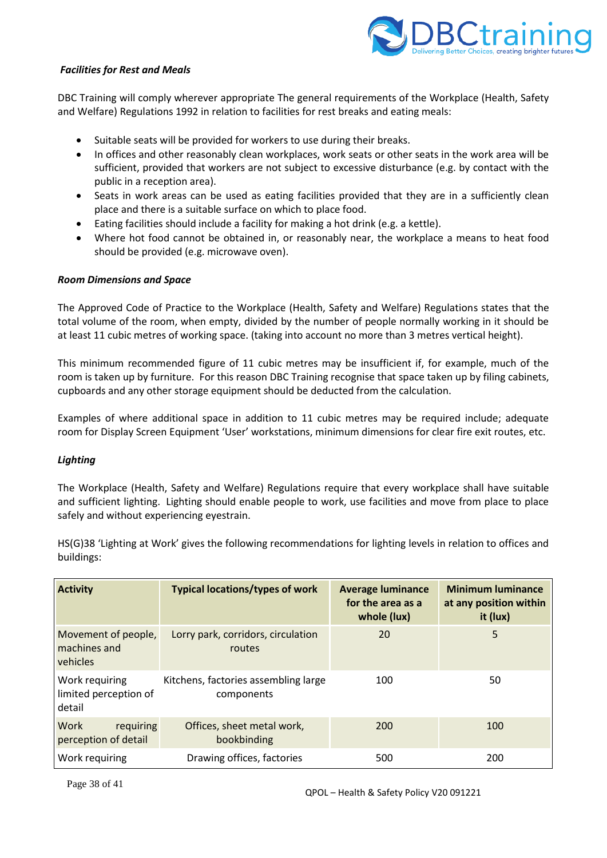

## *Facilities for Rest and Meals*

DBC Training will comply wherever appropriate The general requirements of the Workplace (Health, Safety and Welfare) Regulations 1992 in relation to facilities for rest breaks and eating meals:

- Suitable seats will be provided for workers to use during their breaks.
- In offices and other reasonably clean workplaces, work seats or other seats in the work area will be sufficient, provided that workers are not subject to excessive disturbance (e.g. by contact with the public in a reception area).
- Seats in work areas can be used as eating facilities provided that they are in a sufficiently clean place and there is a suitable surface on which to place food.
- Eating facilities should include a facility for making a hot drink (e.g. a kettle).
- Where hot food cannot be obtained in, or reasonably near, the workplace a means to heat food should be provided (e.g. microwave oven).

## *Room Dimensions and Space*

The Approved Code of Practice to the Workplace (Health, Safety and Welfare) Regulations states that the total volume of the room, when empty, divided by the number of people normally working in it should be at least 11 cubic metres of working space. (taking into account no more than 3 metres vertical height).

This minimum recommended figure of 11 cubic metres may be insufficient if, for example, much of the room is taken up by furniture. For this reason DBC Training recognise that space taken up by filing cabinets, cupboards and any other storage equipment should be deducted from the calculation.

Examples of where additional space in addition to 11 cubic metres may be required include; adequate room for Display Screen Equipment 'User' workstations, minimum dimensions for clear fire exit routes, etc.

## *Lighting*

The Workplace (Health, Safety and Welfare) Regulations require that every workplace shall have suitable and sufficient lighting. Lighting should enable people to work, use facilities and move from place to place safely and without experiencing eyestrain.

| <b>Activity</b>                                   | <b>Typical locations/types of work</b>             | <b>Average luminance</b><br>for the area as a<br>whole (lux) | <b>Minimum luminance</b><br>at any position within<br>it (lux) |
|---------------------------------------------------|----------------------------------------------------|--------------------------------------------------------------|----------------------------------------------------------------|
| Movement of people,<br>machines and<br>vehicles   | Lorry park, corridors, circulation<br>routes       | 20                                                           | 5                                                              |
| Work requiring<br>limited perception of<br>detail | Kitchens, factories assembling large<br>components | 100                                                          | 50                                                             |
| requiring<br>Work<br>perception of detail         | Offices, sheet metal work,<br>bookbinding          | 200                                                          | 100                                                            |
| Work requiring                                    | Drawing offices, factories                         | 500                                                          | 200                                                            |

HS(G)38 'Lighting at Work' gives the following recommendations for lighting levels in relation to offices and buildings: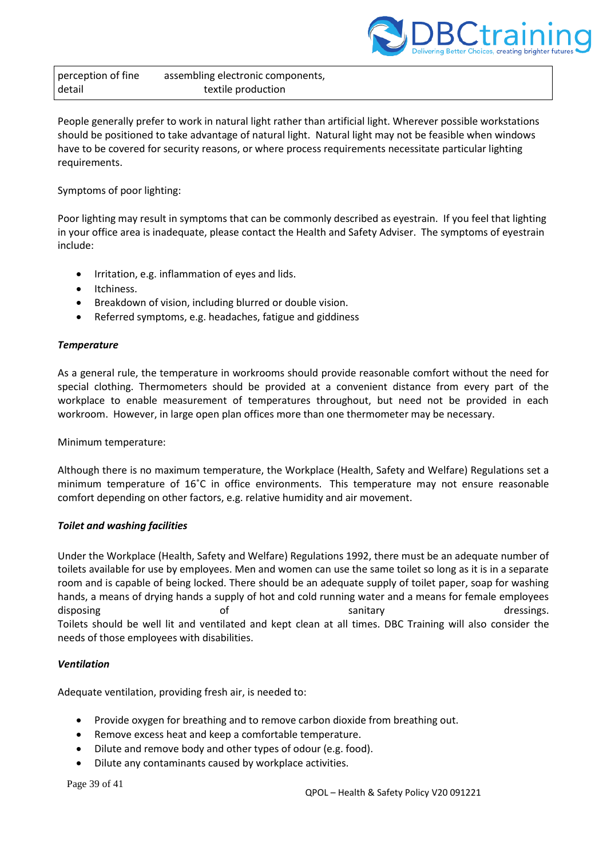

perception of fine detail assembling electronic components, textile production

People generally prefer to work in natural light rather than artificial light. Wherever possible workstations should be positioned to take advantage of natural light. Natural light may not be feasible when windows have to be covered for security reasons, or where process requirements necessitate particular lighting requirements.

Symptoms of poor lighting:

Poor lighting may result in symptoms that can be commonly described as eyestrain. If you feel that lighting in your office area is inadequate, please contact the Health and Safety Adviser. The symptoms of eyestrain include:

- Irritation, e.g. inflammation of eyes and lids.
- Itchiness.
- Breakdown of vision, including blurred or double vision.
- Referred symptoms, e.g. headaches, fatigue and giddiness

## *Temperature*

As a general rule, the temperature in workrooms should provide reasonable comfort without the need for special clothing. Thermometers should be provided at a convenient distance from every part of the workplace to enable measurement of temperatures throughout, but need not be provided in each workroom. However, in large open plan offices more than one thermometer may be necessary.

Minimum temperature:

Although there is no maximum temperature, the Workplace (Health, Safety and Welfare) Regulations set a minimum temperature of 16˚C in office environments. This temperature may not ensure reasonable comfort depending on other factors, e.g. relative humidity and air movement.

## *Toilet and washing facilities*

Under the Workplace (Health, Safety and Welfare) Regulations 1992, there must be an adequate number of toilets available for use by employees. Men and women can use the same toilet so long as it is in a separate room and is capable of being locked. There should be an adequate supply of toilet paper, soap for washing hands, a means of drying hands a supply of hot and cold running water and a means for female employees disposing and the sanitary control of the sanitary sanitary sanitary control dressings. Toilets should be well lit and ventilated and kept clean at all times. DBC Training will also consider the needs of those employees with disabilities.

## *Ventilation*

Adequate ventilation, providing fresh air, is needed to:

- Provide oxygen for breathing and to remove carbon dioxide from breathing out.
- Remove excess heat and keep a comfortable temperature.
- Dilute and remove body and other types of odour (e.g. food).
- Dilute any contaminants caused by workplace activities.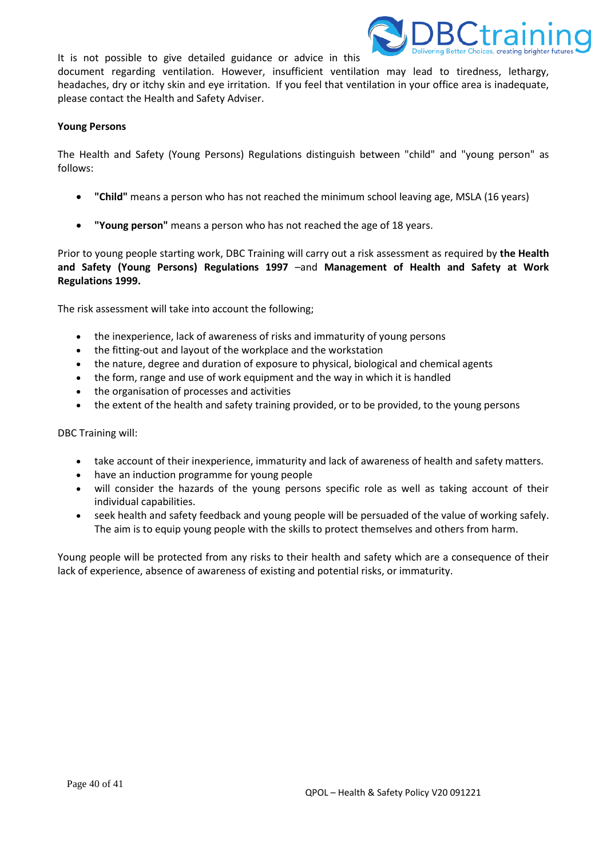It is not possible to give detailed guidance or advice in this



document regarding ventilation. However, insufficient ventilation may lead to tiredness, lethargy, headaches, dry or itchy skin and eye irritation. If you feel that ventilation in your office area is inadequate, please contact the Health and Safety Adviser.

#### **Young Persons**

The Health and Safety (Young Persons) Regulations distinguish between "child" and "young person" as follows:

- **"Child"** means a person who has not reached the minimum school leaving age, MSLA (16 years)
- **"Young person"** means a person who has not reached the age of 18 years.

Prior to young people starting work, DBC Training will carry out a risk assessment as required by **the Health and Safety (Young Persons) Regulations 1997** –and **Management of Health and Safety at Work Regulations 1999.**

The risk assessment will take into account the following;

- the inexperience, lack of awareness of risks and immaturity of young persons
- the fitting-out and layout of the workplace and the workstation
- the nature, degree and duration of exposure to physical, biological and chemical agents
- the form, range and use of work equipment and the way in which it is handled
- the organisation of processes and activities
- the extent of the health and safety training provided, or to be provided, to the young persons

DBC Training will:

- take account of their inexperience, immaturity and lack of awareness of health and safety matters.
- have an induction programme for young people
- will consider the hazards of the young persons specific role as well as taking account of their individual capabilities.
- seek health and safety feedback and young people will be persuaded of the value of working safely. The aim is to equip young people with the skills to protect themselves and others from harm.

Young people will be protected from any risks to their health and safety which are a consequence of their lack of experience, absence of awareness of existing and potential risks, or immaturity.